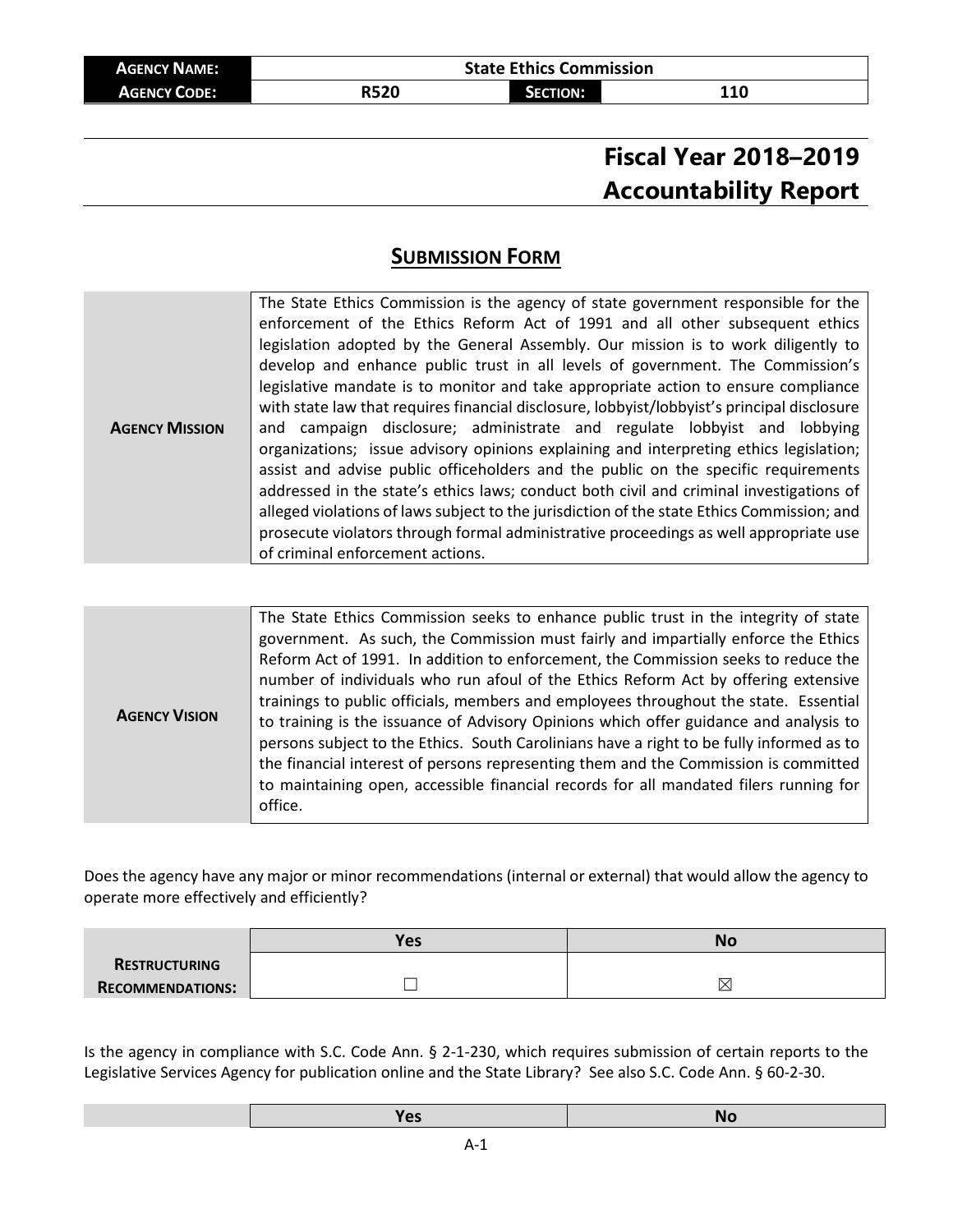| <b>AGENCY NAME:</b> | <b>State Ethics Commission</b> |          |     |
|---------------------|--------------------------------|----------|-----|
| <b>AGENCY CODE:</b> | R520                           | SECTION: | 110 |

# **Fiscal Year 2018–2019 Accountability Report**

## **SUBMISSION FORM**

| The State Ethics Commission is the agency of state government responsible for the<br>enforcement of the Ethics Reform Act of 1991 and all other subsequent ethics<br>legislation adopted by the General Assembly. Our mission is to work diligently to<br>develop and enhance public trust in all levels of government. The Commission's<br>legislative mandate is to monitor and take appropriate action to ensure compliance<br>with state law that requires financial disclosure, lobbyist/lobbyist's principal disclosure<br>and campaign disclosure; administrate and regulate lobbyist and lobbying<br><b>AGENCY MISSION</b><br>organizations; issue advisory opinions explaining and interpreting ethics legislation;<br>assist and advise public officeholders and the public on the specific requirements |
|--------------------------------------------------------------------------------------------------------------------------------------------------------------------------------------------------------------------------------------------------------------------------------------------------------------------------------------------------------------------------------------------------------------------------------------------------------------------------------------------------------------------------------------------------------------------------------------------------------------------------------------------------------------------------------------------------------------------------------------------------------------------------------------------------------------------|
|--------------------------------------------------------------------------------------------------------------------------------------------------------------------------------------------------------------------------------------------------------------------------------------------------------------------------------------------------------------------------------------------------------------------------------------------------------------------------------------------------------------------------------------------------------------------------------------------------------------------------------------------------------------------------------------------------------------------------------------------------------------------------------------------------------------------|

| <b>AGENCY VISION</b> | The State Ethics Commission seeks to enhance public trust in the integrity of state<br>government. As such, the Commission must fairly and impartially enforce the Ethics<br>Reform Act of 1991. In addition to enforcement, the Commission seeks to reduce the<br>number of individuals who run afoul of the Ethics Reform Act by offering extensive<br>trainings to public officials, members and employees throughout the state. Essential<br>to training is the issuance of Advisory Opinions which offer guidance and analysis to<br>persons subject to the Ethics. South Carolinians have a right to be fully informed as to<br>the financial interest of persons representing them and the Commission is committed<br>to maintaining open, accessible financial records for all mandated filers running for<br>office. |
|----------------------|-------------------------------------------------------------------------------------------------------------------------------------------------------------------------------------------------------------------------------------------------------------------------------------------------------------------------------------------------------------------------------------------------------------------------------------------------------------------------------------------------------------------------------------------------------------------------------------------------------------------------------------------------------------------------------------------------------------------------------------------------------------------------------------------------------------------------------|

Does the agency have any major or minor recommendations (internal or external) that would allow the agency to operate more effectively and efficiently?

|                         | Yes. | No          |
|-------------------------|------|-------------|
| RESTRUCTURING           |      |             |
| <b>RECOMMENDATIONS:</b> |      | $\boxtimes$ |

Is the agency in compliance with S.C. Code Ann. § 2-1-230, which requires submission of certain reports to the Legislative Services Agency for publication online and the State Library? See also S.C. Code Ann. § 60-2-30.

|--|--|--|--|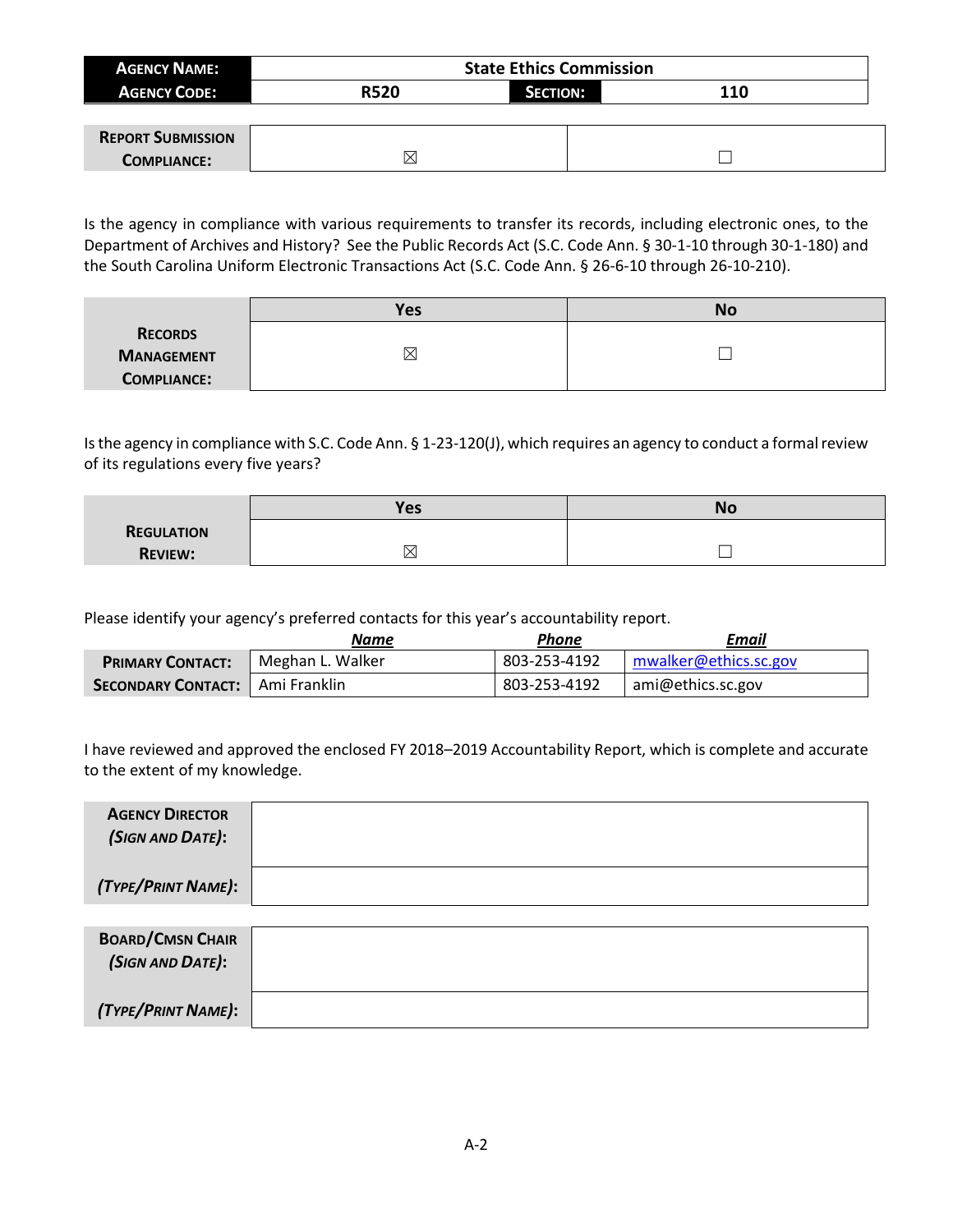| <b>AGENCY NAME:</b>        |             | <b>State Ethics Commission</b> |     |  |
|----------------------------|-------------|--------------------------------|-----|--|
| <b>AGENCY CODE:</b>        | <b>R520</b> | <b>SECTION:</b>                | 110 |  |
|                            |             |                                |     |  |
| <b>REDORT CLIDAMICCION</b> |             |                                |     |  |

| <b>REPORT SUBMISSION</b> |  |
|--------------------------|--|
| <b>COMPLIANCE:</b>       |  |

Is the agency in compliance with various requirements to transfer its records, including electronic ones, to the Department of Archives and History? See the Public Records Act (S.C. Code Ann. § 30-1-10 through 30-1-180) and the South Carolina Uniform Electronic Transactions Act (S.C. Code Ann. § 26-6-10 through 26-10-210).

|                    | <b>Yes</b>  | No |
|--------------------|-------------|----|
| <b>RECORDS</b>     |             |    |
| <b>MANAGEMENT</b>  | $\boxtimes$ |    |
| <b>COMPLIANCE:</b> |             |    |

Is the agency in compliance with S.C. Code Ann. § 1-23-120(J), which requires an agency to conduct a formal review of its regulations every five years?

|                   | <b>Yes</b> | No |
|-------------------|------------|----|
| <b>REGULATION</b> |            |    |
| <b>REVIEW:</b>    | ╰<br>▵     |    |

Please identify your agency's preferred contacts for this year's accountability report.

|                                   | Name             | Phone        | Email                 |
|-----------------------------------|------------------|--------------|-----------------------|
| <b>PRIMARY CONTACT:</b>           | Meghan L. Walker | 803-253-4192 | mwalker@ethics.sc.gov |
| SECONDARY CONTACT:   Ami Franklin |                  | 803-253-4192 | ami@ethics.sc.gov     |

I have reviewed and approved the enclosed FY 2018–2019 Accountability Report, which is complete and accurate to the extent of my knowledge.

| <b>AGENCY DIRECTOR</b><br>(SIGN AND DATE): |  |
|--------------------------------------------|--|
| (TYPE/PRINT NAME):                         |  |
|                                            |  |

| <b>BOARD/CMSN CHAIR</b><br>(SIGN AND DATE): |  |
|---------------------------------------------|--|
| (TYPE/PRINT NAME):                          |  |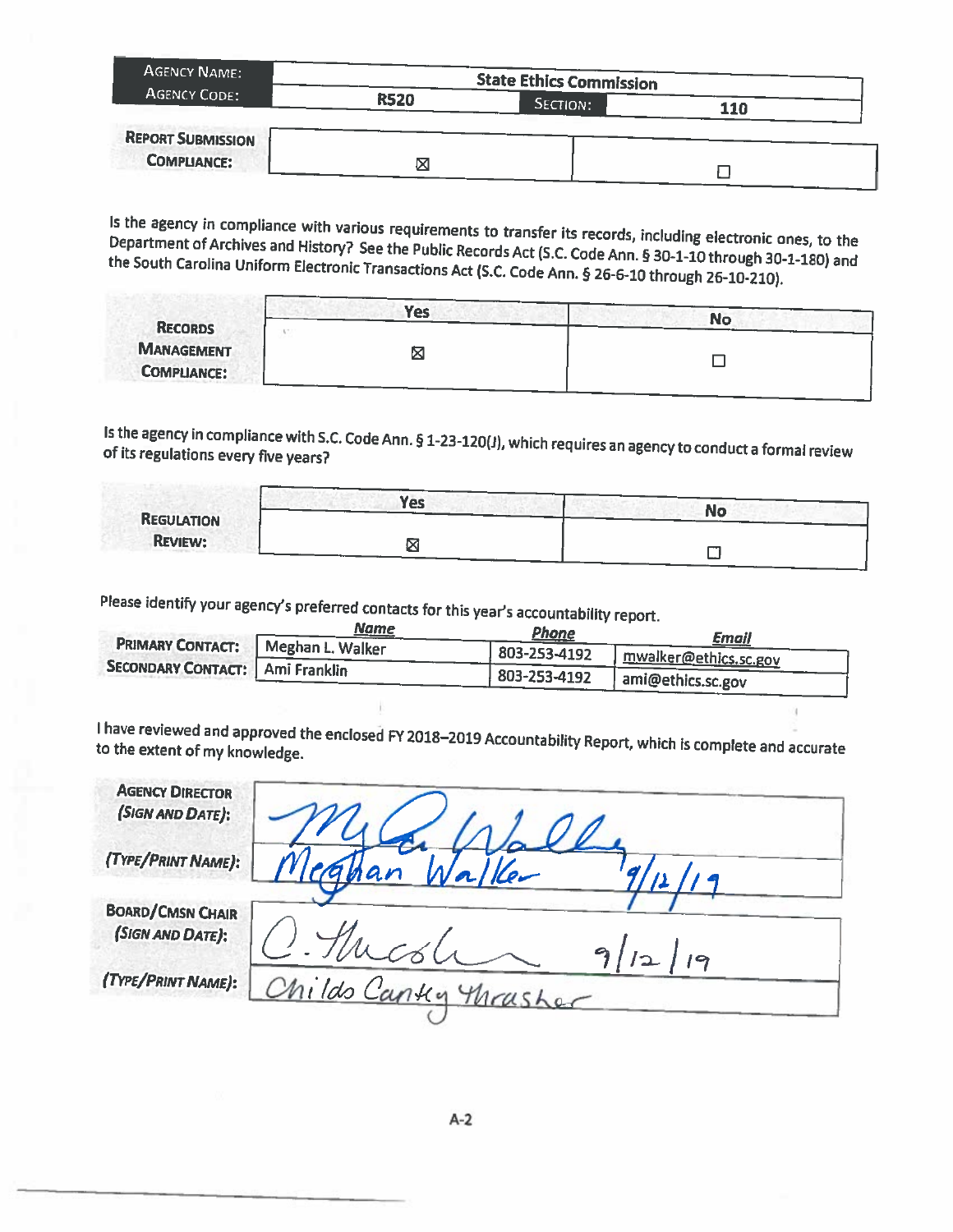| <b>AGENCY NAME:</b>      |             | <b>State Ethics Commission</b> |     |  |
|--------------------------|-------------|--------------------------------|-----|--|
| <b>AGENCY CODE:</b>      | <b>R520</b> | SECTION:                       | 110 |  |
| <b>REPORT SUBMISSION</b> |             |                                |     |  |
| <b>COMPLIANCE:</b>       | ⊠           |                                |     |  |

Is the agency in compliance with various requirements to transfer its records, including electronic ones, to the Department of Archives and History? See the Public Records Act (S.C. Code Ann. § 30-1-10 through 30-1-180) and the South Carolina Uniform Electronic Transactions Act (S.C. Code Ann. § 26-6-10 through 26-10-210).

|                    | <b>Yes</b> |           |
|--------------------|------------|-----------|
| <b>RECORDS</b>     |            | <b>No</b> |
| <b>MANAGEMENT</b>  | Σ          |           |
| <b>COMPLIANCE:</b> |            |           |

Is the agency in compliance with S.C. Code Ann. § 1-23-120(J), which requires an agency to conduct a formal review of its regulations every five years?

|                   | <b>Yes</b> | <b>No</b> |
|-------------------|------------|-----------|
| <b>REGULATION</b> |            |           |
| <b>REVIEW:</b>    |            |           |

Please identify your agency's preferred contacts for this year's accountability report.

|                                          | Name             | Phone        | Email                 |
|------------------------------------------|------------------|--------------|-----------------------|
| <b>PRIMARY CONTACT:</b>                  | Meghan L. Walker | 803-253-4192 | mwalker@ethics.sc.gov |
| <b>SECONDARY CONTACT:   Ami Franklin</b> |                  | 803-253-4192 | ami@ethics.sc.gov     |

I have reviewed and approved the enclosed FY 2018-2019 Accountability Report, which is complete and accurate to the extent of my knowledge.

| <b>AGENCY DIRECTOR</b>  |                       |
|-------------------------|-----------------------|
| (SIGN AND DATE):        |                       |
| (TYPE/PRINT NAME):      |                       |
|                         | nan<br>Ker            |
| <b>BOARD/CMSN CHAIR</b> |                       |
| (SIGN AND DATE):        | $\bullet$             |
| (TYPE/PRINT NAME):      |                       |
|                         | Childs Cantly Mrasher |
|                         |                       |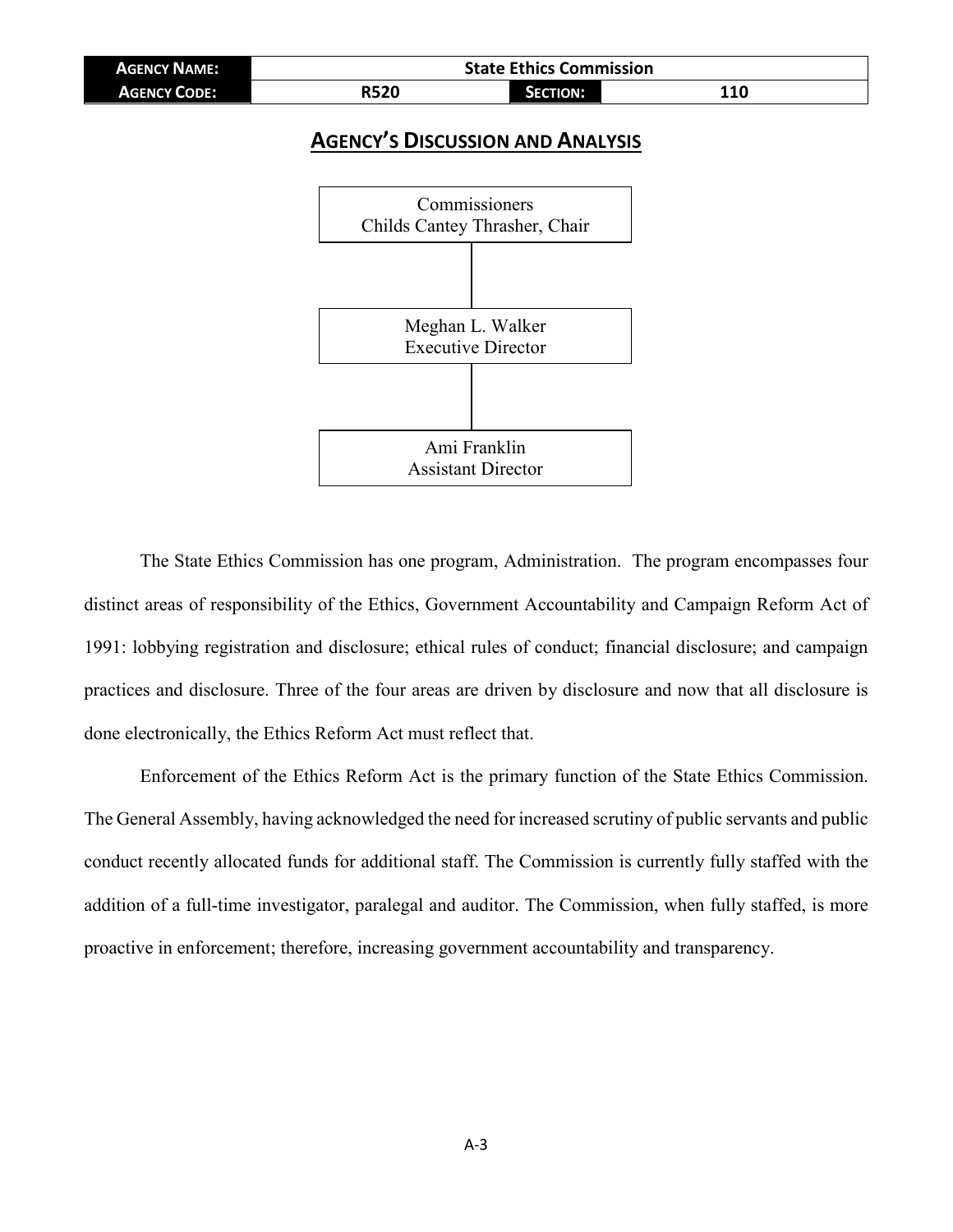| <b>AGENCY NAME:</b> | <b>State Ethics Commission</b> |          |     |  |  |  |
|---------------------|--------------------------------|----------|-----|--|--|--|
| <b>AGENCY CODE:</b> | <b>R520</b>                    | SECTION: | 110 |  |  |  |

### **AGENCY'S DISCUSSION AND ANALYSIS**



The State Ethics Commission has one program, Administration. The program encompasses four distinct areas of responsibility of the Ethics, Government Accountability and Campaign Reform Act of 1991: lobbying registration and disclosure; ethical rules of conduct; financial disclosure; and campaign practices and disclosure. Three of the four areas are driven by disclosure and now that all disclosure is done electronically, the Ethics Reform Act must reflect that.

Enforcement of the Ethics Reform Act is the primary function of the State Ethics Commission. The General Assembly, having acknowledged the need for increased scrutiny of public servants and public conduct recently allocated funds for additional staff. The Commission is currently fully staffed with the addition of a full-time investigator, paralegal and auditor. The Commission, when fully staffed, is more proactive in enforcement; therefore, increasing government accountability and transparency.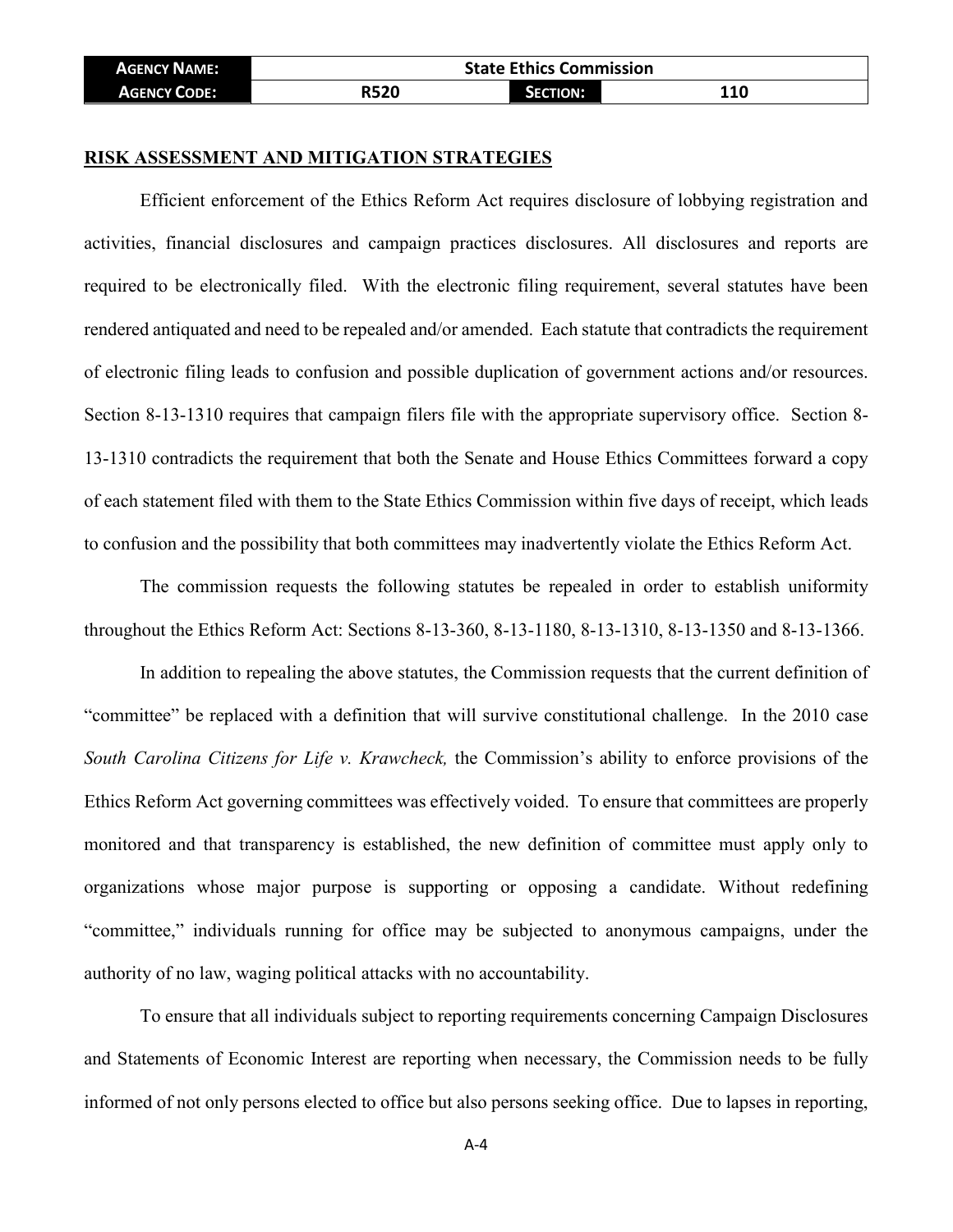| <b>AGENCY NAME:</b> | <b>State Ethics Commission</b> |          |     |  |  |  |
|---------------------|--------------------------------|----------|-----|--|--|--|
| <b>AGENCY CODE:</b> | <b>R520</b>                    | SECTION: | 110 |  |  |  |

#### **RISK ASSESSMENT AND MITIGATION STRATEGIES**

Efficient enforcement of the Ethics Reform Act requires disclosure of lobbying registration and activities, financial disclosures and campaign practices disclosures. All disclosures and reports are required to be electronically filed. With the electronic filing requirement, several statutes have been rendered antiquated and need to be repealed and/or amended. Each statute that contradicts the requirement of electronic filing leads to confusion and possible duplication of government actions and/or resources. Section 8-13-1310 requires that campaign filers file with the appropriate supervisory office. Section 8- 13-1310 contradicts the requirement that both the Senate and House Ethics Committees forward a copy of each statement filed with them to the State Ethics Commission within five days of receipt, which leads to confusion and the possibility that both committees may inadvertently violate the Ethics Reform Act.

The commission requests the following statutes be repealed in order to establish uniformity throughout the Ethics Reform Act: Sections 8-13-360, 8-13-1180, 8-13-1310, 8-13-1350 and 8-13-1366.

In addition to repealing the above statutes, the Commission requests that the current definition of "committee" be replaced with a definition that will survive constitutional challenge. In the 2010 case *South Carolina Citizens for Life v. Krawcheck,* the Commission's ability to enforce provisions of the Ethics Reform Act governing committees was effectively voided. To ensure that committees are properly monitored and that transparency is established, the new definition of committee must apply only to organizations whose major purpose is supporting or opposing a candidate. Without redefining "committee," individuals running for office may be subjected to anonymous campaigns, under the authority of no law, waging political attacks with no accountability.

To ensure that all individuals subject to reporting requirements concerning Campaign Disclosures and Statements of Economic Interest are reporting when necessary, the Commission needs to be fully informed of not only persons elected to office but also persons seeking office. Due to lapses in reporting,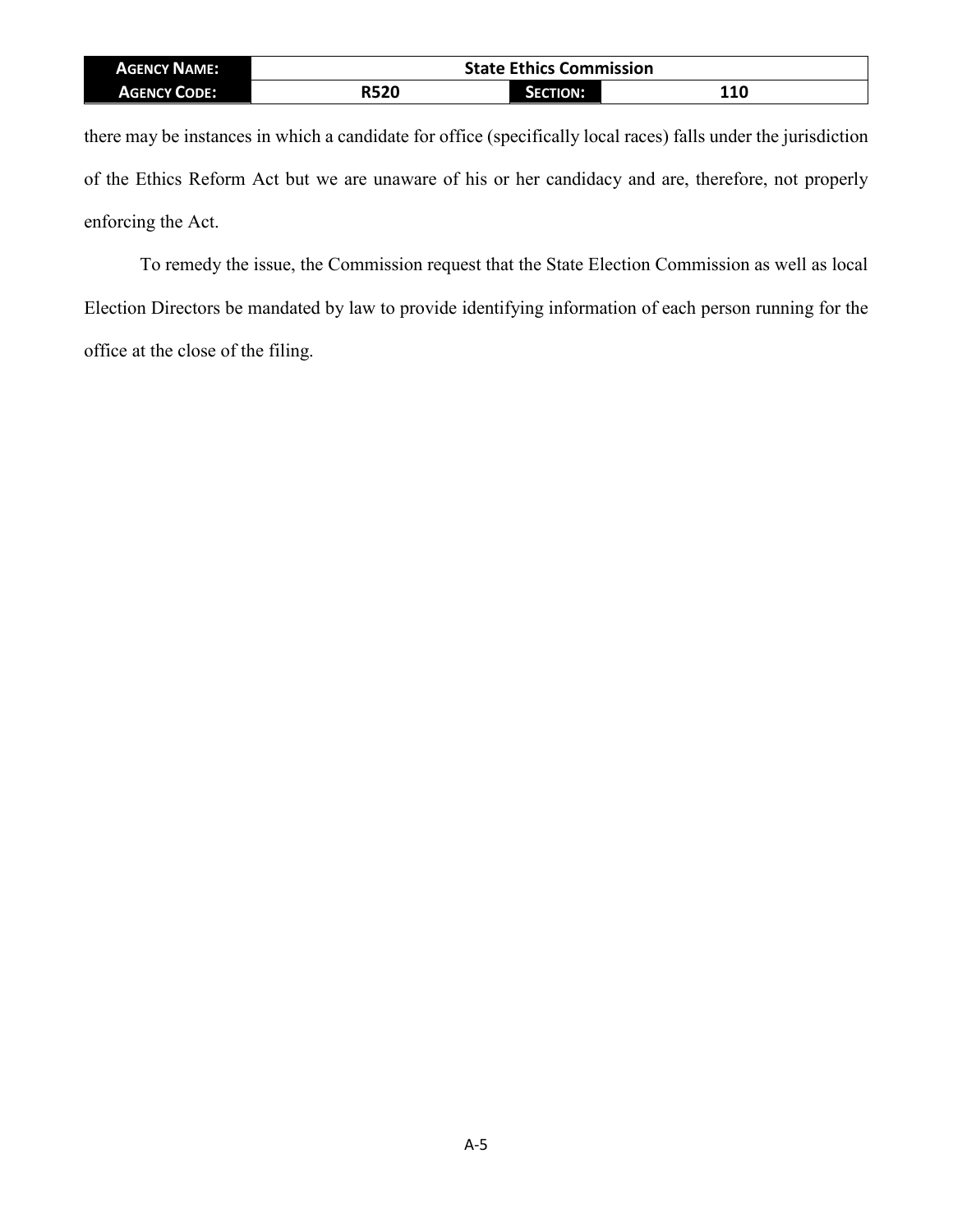| <b>AGENCY NAME:</b> | <b>State Ethics Commission</b> |          |            |  |  |  |
|---------------------|--------------------------------|----------|------------|--|--|--|
| <b>AGENCY CODE:</b> | R520                           | SECTION: | <b>110</b> |  |  |  |

there may be instances in which a candidate for office (specifically local races) falls under the jurisdiction of the Ethics Reform Act but we are unaware of his or her candidacy and are, therefore, not properly enforcing the Act.

To remedy the issue, the Commission request that the State Election Commission as well as local Election Directors be mandated by law to provide identifying information of each person running for the office at the close of the filing.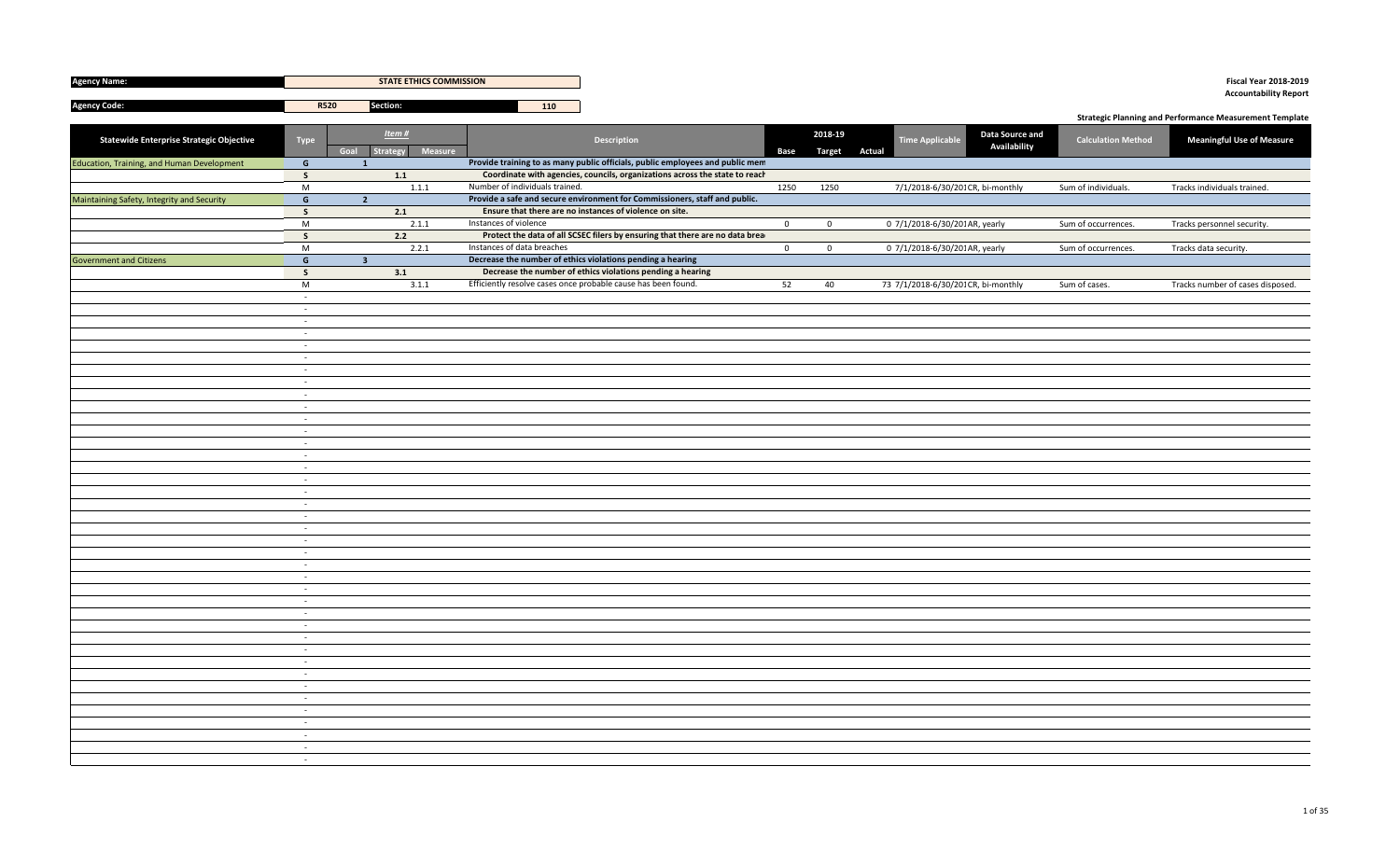| <b>Agency Name:</b>                             |                     | <b>STATE ETHICS COMMISSION</b> |                                |                                                                               |                |                                 |                                                    |                           | <b>Fiscal Year 2018-2019</b>                                   |
|-------------------------------------------------|---------------------|--------------------------------|--------------------------------|-------------------------------------------------------------------------------|----------------|---------------------------------|----------------------------------------------------|---------------------------|----------------------------------------------------------------|
|                                                 |                     |                                |                                |                                                                               |                |                                 |                                                    |                           | <b>Accountability Report</b>                                   |
| <b>Agency Code:</b>                             | <b>R520</b>         | Section:                       | 110                            |                                                                               |                |                                 |                                                    |                           | <b>Strategic Planning and Performance Measurement Template</b> |
|                                                 |                     |                                |                                |                                                                               |                |                                 |                                                    |                           |                                                                |
| <b>Statewide Enterprise Strategic Objective</b> | <b>Type</b><br>Goal | Item#<br>Strategy<br>Measure   |                                | <b>Description</b>                                                            | Base           | 2018-19<br><b>Target Actual</b> | Data Source and<br>Time Applicable<br>Availability | <b>Calculation Method</b> | <b>Meaningful Use of Measure</b>                               |
| Education, Training, and Human Development      | $\mathsf{G}$        | $\mathbf{1}$                   |                                | Provide training to as many public officials, public employees and public mem |                |                                 |                                                    |                           |                                                                |
|                                                 | $\mathsf{s}$        | $1.1\,$                        |                                | Coordinate with agencies, councils, organizations across the state to reach   |                |                                 |                                                    |                           |                                                                |
|                                                 | $\overline{M}$      | 1.1.1                          | Number of individuals trained. |                                                                               | 1250           | 1250                            | 7/1/2018-6/30/201 CR, bi-monthly                   | Sum of individuals.       | Tracks individuals trained.                                    |
| Maintaining Safety, Integrity and Security      | $\mathsf{G}$        | $\overline{2}$                 |                                | Provide a safe and secure environment for Commissioners, staff and public.    |                |                                 |                                                    |                           |                                                                |
|                                                 | $\mathsf{s}$        | 2.1                            |                                | Ensure that there are no instances of violence on site.                       |                |                                 |                                                    |                           |                                                                |
|                                                 | M                   | 2.1.1                          | Instances of violence          |                                                                               | $\mathbf 0$    | $\mathbf{0}$                    | 0 7/1/2018-6/30/201AR, yearly                      | Sum of occurrences.       | Tracks personnel security.                                     |
|                                                 | $\mathsf{s}$        | 2.2                            |                                | Protect the data of all SCSEC filers by ensuring that there are no data brea  |                |                                 |                                                    |                           |                                                                |
|                                                 | $\overline{M}$      | 2.2.1                          | Instances of data breaches     |                                                                               | $\overline{0}$ | $\mathbf 0$                     | 0 7/1/2018-6/30/201 AR, yearly                     | Sum of occurrences.       | Tracks data security.                                          |
| <b>Government and Citizens</b>                  | $\mathsf{G}$        | 3 <sup>2</sup>                 |                                | Decrease the number of ethics violations pending a hearing                    |                |                                 |                                                    |                           |                                                                |
|                                                 | $\mathsf{s}$        | 3.1                            |                                | Decrease the number of ethics violations pending a hearing                    |                |                                 |                                                    |                           |                                                                |
|                                                 | M                   | 3.1.1                          |                                | Efficiently resolve cases once probable cause has been found.                 | 52             | 40                              | 73 7/1/2018-6/30/201 CR, bi-monthly                | Sum of cases.             | Tracks number of cases disposed.                               |
|                                                 | $\sim$              |                                |                                |                                                                               |                |                                 |                                                    |                           |                                                                |
|                                                 | $\sim$              |                                |                                |                                                                               |                |                                 |                                                    |                           |                                                                |
|                                                 | $\sim$              |                                |                                |                                                                               |                |                                 |                                                    |                           |                                                                |
|                                                 | $\sim$<br>$\sim$    |                                |                                |                                                                               |                |                                 |                                                    |                           |                                                                |
|                                                 | $\sim$              |                                |                                |                                                                               |                |                                 |                                                    |                           |                                                                |
|                                                 | $\sim$              |                                |                                |                                                                               |                |                                 |                                                    |                           |                                                                |
|                                                 | $\sim$              |                                |                                |                                                                               |                |                                 |                                                    |                           |                                                                |
|                                                 | $\sim$              |                                |                                |                                                                               |                |                                 |                                                    |                           |                                                                |
|                                                 | $\sim$              |                                |                                |                                                                               |                |                                 |                                                    |                           |                                                                |
|                                                 | $\sim$              |                                |                                |                                                                               |                |                                 |                                                    |                           |                                                                |
|                                                 | $\sim$              |                                |                                |                                                                               |                |                                 |                                                    |                           |                                                                |
|                                                 | $\sim$              |                                |                                |                                                                               |                |                                 |                                                    |                           |                                                                |
|                                                 | $\sim$              |                                |                                |                                                                               |                |                                 |                                                    |                           |                                                                |
|                                                 | $\sim$              |                                |                                |                                                                               |                |                                 |                                                    |                           |                                                                |
|                                                 | $\sim$              |                                |                                |                                                                               |                |                                 |                                                    |                           |                                                                |
|                                                 | $\sim$              |                                |                                |                                                                               |                |                                 |                                                    |                           |                                                                |
|                                                 | $\sim$              |                                |                                |                                                                               |                |                                 |                                                    |                           |                                                                |
|                                                 | $\sim$              |                                |                                |                                                                               |                |                                 |                                                    |                           |                                                                |
|                                                 | $\sim$              |                                |                                |                                                                               |                |                                 |                                                    |                           |                                                                |
|                                                 | $\sim$              |                                |                                |                                                                               |                |                                 |                                                    |                           |                                                                |
|                                                 | $\sim$              |                                |                                |                                                                               |                |                                 |                                                    |                           |                                                                |
|                                                 | $\sim$              |                                |                                |                                                                               |                |                                 |                                                    |                           |                                                                |
|                                                 | $\sim$              |                                |                                |                                                                               |                |                                 |                                                    |                           |                                                                |
|                                                 | $\sim$              |                                |                                |                                                                               |                |                                 |                                                    |                           |                                                                |
|                                                 | $\sim$              |                                |                                |                                                                               |                |                                 |                                                    |                           |                                                                |
|                                                 | $\sim$              |                                |                                |                                                                               |                |                                 |                                                    |                           |                                                                |
|                                                 | $\sim$              |                                |                                |                                                                               |                |                                 |                                                    |                           |                                                                |
|                                                 | $\sim$              |                                |                                |                                                                               |                |                                 |                                                    |                           |                                                                |
|                                                 | $\sim$              |                                |                                |                                                                               |                |                                 |                                                    |                           |                                                                |
|                                                 | $\sim$              |                                |                                |                                                                               |                |                                 |                                                    |                           |                                                                |
|                                                 | $\sim$<br>$\omega$  |                                |                                |                                                                               |                |                                 |                                                    |                           |                                                                |
|                                                 | $\sim$              |                                |                                |                                                                               |                |                                 |                                                    |                           |                                                                |
|                                                 | $\sim$              |                                |                                |                                                                               |                |                                 |                                                    |                           |                                                                |
|                                                 | $\sim$              |                                |                                |                                                                               |                |                                 |                                                    |                           |                                                                |
|                                                 | $\sim$              |                                |                                |                                                                               |                |                                 |                                                    |                           |                                                                |
|                                                 | $\sim$              |                                |                                |                                                                               |                |                                 |                                                    |                           |                                                                |
|                                                 | $\sim$              |                                |                                |                                                                               |                |                                 |                                                    |                           |                                                                |
|                                                 |                     |                                |                                |                                                                               |                |                                 |                                                    |                           |                                                                |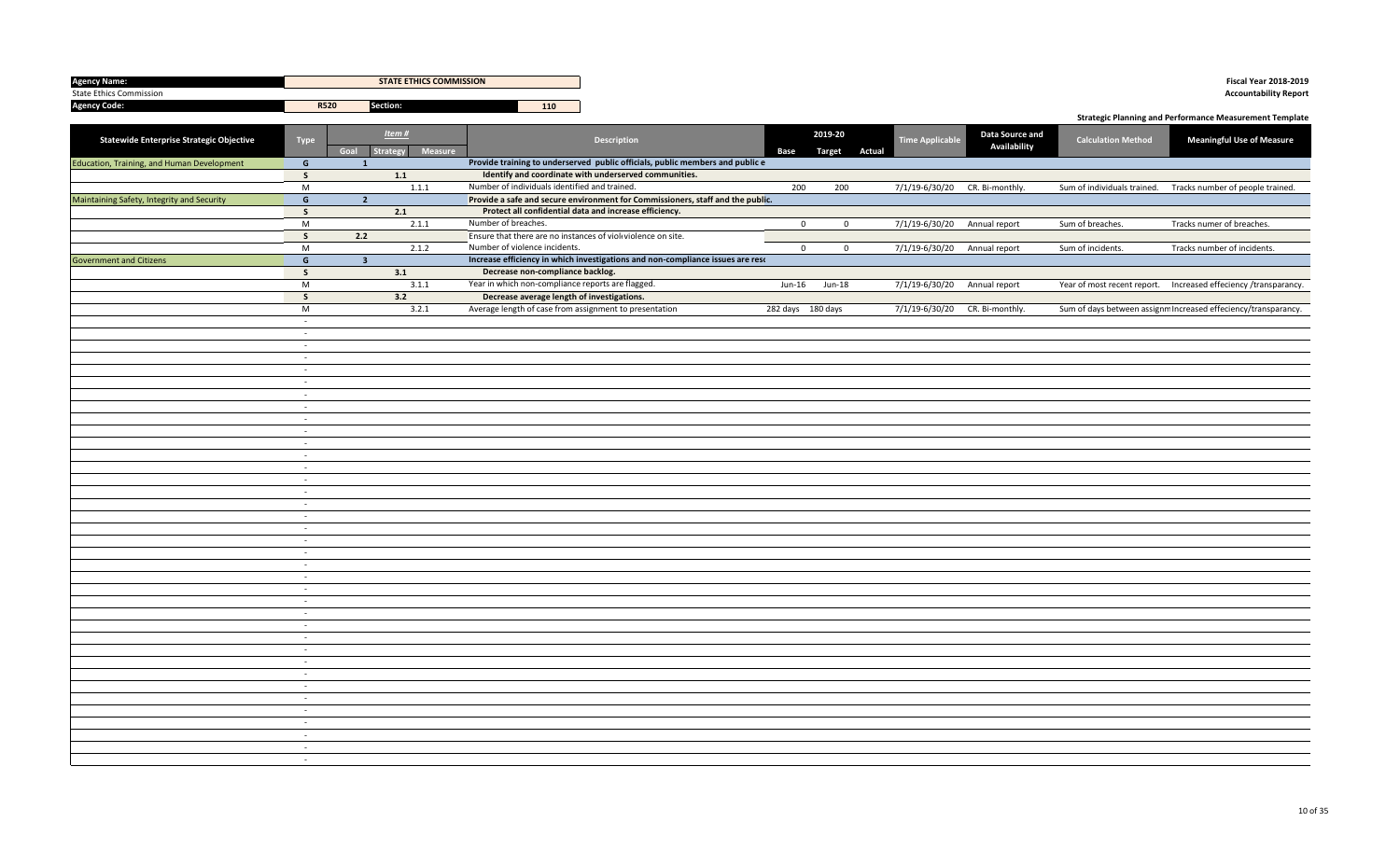| <b>Agency Name:</b>                        |                     | <b>STATE ETHICS COMMISSION</b>       |                                                              |                                                                                |                   |                          |                                |                                 |                             | <b>Fiscal Year 2018-2019</b>                                     |
|--------------------------------------------|---------------------|--------------------------------------|--------------------------------------------------------------|--------------------------------------------------------------------------------|-------------------|--------------------------|--------------------------------|---------------------------------|-----------------------------|------------------------------------------------------------------|
| <b>State Ethics Commission</b>             |                     |                                      |                                                              |                                                                                |                   |                          |                                |                                 |                             | <b>Accountability Report</b>                                     |
| <b>Agency Code:</b>                        | R520                | Section:                             | 110                                                          |                                                                                |                   |                          |                                |                                 |                             |                                                                  |
|                                            |                     |                                      |                                                              |                                                                                |                   |                          |                                |                                 |                             | <b>Strategic Planning and Performance Measurement Template</b>   |
| Statewide Enterprise Strategic Objective   | Type                | Item#<br>Strategy<br>Measure<br>Goal |                                                              | Description                                                                    | Base              | 2019-20<br>Target Actual | <b>Time Applicable</b>         | Data Source and<br>Availability | <b>Calculation Method</b>   | <b>Meaningful Use of Measure</b>                                 |
| Education, Training, and Human Development | G                   | $\mathbf{1}$                         |                                                              | Provide training to underserved public officials, public members and public e  |                   |                          |                                |                                 |                             |                                                                  |
|                                            | $\mathsf{s}$        | 1.1                                  |                                                              | Identify and coordinate with underserved communities.                          |                   |                          |                                |                                 |                             |                                                                  |
|                                            | M                   | 1.1.1                                | Number of individuals identified and trained.                |                                                                                | 200               | 200                      | 7/1/19-6/30/20 CR. Bi-monthly. |                                 | Sum of individuals trained. | Tracks number of people trained.                                 |
| Maintaining Safety, Integrity and Security | G                   | $\overline{2}$                       |                                                              | Provide a safe and secure environment for Commissioners, staff and the public. |                   |                          |                                |                                 |                             |                                                                  |
|                                            | $\mathsf{s}$        | 2.1                                  |                                                              | Protect all confidential data and increase efficiency.                         |                   |                          |                                |                                 |                             |                                                                  |
|                                            | M                   | 2.1.1                                | Number of breaches.                                          |                                                                                | $\mathbf{0}$      | $\mathbf 0$              | 7/1/19-6/30/20 Annual report   |                                 | Sum of breaches.            | Tracks numer of breaches.                                        |
|                                            | $\mathsf{s}$        | 2.2                                  | Ensure that there are no instances of viol violence on site. |                                                                                |                   |                          |                                |                                 |                             |                                                                  |
| <b>Government and Citizens</b>             | M<br>$\overline{G}$ | 2.1.2                                | Number of violence incidents.                                | Increase efficiency in which investigations and non-compliance issues are reso | $\mathbf 0$       | $\mathsf{O}\xspace$      | 7/1/19-6/30/20 Annual report   |                                 | Sum of incidents.           | Tracks number of incidents.                                      |
|                                            |                     | 3 <sup>1</sup>                       | Decrease non-compliance backlog.                             |                                                                                |                   |                          |                                |                                 |                             |                                                                  |
|                                            | $\mathsf{s}$<br>M   | 3.1<br>3.1.1                         | Year in which non-compliance reports are flagged.            |                                                                                | Jun-16            | Jun-18                   | 7/1/19-6/30/20 Annual report   |                                 |                             | Year of most recent report.  Increased effeciency /transparancy. |
|                                            | $\mathsf{s}$        | 3.2                                  | Decrease average length of investigations.                   |                                                                                |                   |                          |                                |                                 |                             |                                                                  |
|                                            | M                   | 3.2.1                                | Average length of case from assignment to presentation       |                                                                                | 282 days 180 days |                          | 7/1/19-6/30/20 CR. Bi-monthly. |                                 |                             | Sum of days between assignm Increased effeciency/transparancy.   |
|                                            | $\sim$              |                                      |                                                              |                                                                                |                   |                          |                                |                                 |                             |                                                                  |
|                                            | $\sim$              |                                      |                                                              |                                                                                |                   |                          |                                |                                 |                             |                                                                  |
|                                            | $\sim$              |                                      |                                                              |                                                                                |                   |                          |                                |                                 |                             |                                                                  |
|                                            | $\sim$              |                                      |                                                              |                                                                                |                   |                          |                                |                                 |                             |                                                                  |
|                                            | $\sim$              |                                      |                                                              |                                                                                |                   |                          |                                |                                 |                             |                                                                  |
|                                            | $\sim$              |                                      |                                                              |                                                                                |                   |                          |                                |                                 |                             |                                                                  |
|                                            | $\sim$              |                                      |                                                              |                                                                                |                   |                          |                                |                                 |                             |                                                                  |
|                                            | $\sim$              |                                      |                                                              |                                                                                |                   |                          |                                |                                 |                             |                                                                  |
|                                            | $\sim$<br>$\sim$    |                                      |                                                              |                                                                                |                   |                          |                                |                                 |                             |                                                                  |
|                                            | $\sim$              |                                      |                                                              |                                                                                |                   |                          |                                |                                 |                             |                                                                  |
|                                            | $\sim$              |                                      |                                                              |                                                                                |                   |                          |                                |                                 |                             |                                                                  |
|                                            | $\sim$              |                                      |                                                              |                                                                                |                   |                          |                                |                                 |                             |                                                                  |
|                                            | $\sim$              |                                      |                                                              |                                                                                |                   |                          |                                |                                 |                             |                                                                  |
|                                            | $\sim$              |                                      |                                                              |                                                                                |                   |                          |                                |                                 |                             |                                                                  |
|                                            | $\sim$              |                                      |                                                              |                                                                                |                   |                          |                                |                                 |                             |                                                                  |
|                                            | $\sim$              |                                      |                                                              |                                                                                |                   |                          |                                |                                 |                             |                                                                  |
|                                            | $\sim$              |                                      |                                                              |                                                                                |                   |                          |                                |                                 |                             |                                                                  |
|                                            | $\sim$              |                                      |                                                              |                                                                                |                   |                          |                                |                                 |                             |                                                                  |
|                                            | $\sim$              |                                      |                                                              |                                                                                |                   |                          |                                |                                 |                             |                                                                  |
|                                            | $\sim$              |                                      |                                                              |                                                                                |                   |                          |                                |                                 |                             |                                                                  |
|                                            | $\sim$<br>$\sim$    |                                      |                                                              |                                                                                |                   |                          |                                |                                 |                             |                                                                  |
|                                            | $\sim$              |                                      |                                                              |                                                                                |                   |                          |                                |                                 |                             |                                                                  |
|                                            | $\sim$              |                                      |                                                              |                                                                                |                   |                          |                                |                                 |                             |                                                                  |
|                                            | $\sim$              |                                      |                                                              |                                                                                |                   |                          |                                |                                 |                             |                                                                  |
|                                            | $\sim$              |                                      |                                                              |                                                                                |                   |                          |                                |                                 |                             |                                                                  |
|                                            | $\sim$              |                                      |                                                              |                                                                                |                   |                          |                                |                                 |                             |                                                                  |
|                                            | $\sim$              |                                      |                                                              |                                                                                |                   |                          |                                |                                 |                             |                                                                  |
|                                            | $\sim$              |                                      |                                                              |                                                                                |                   |                          |                                |                                 |                             |                                                                  |
|                                            | $\sim$              |                                      |                                                              |                                                                                |                   |                          |                                |                                 |                             |                                                                  |
|                                            | $\sim$              |                                      |                                                              |                                                                                |                   |                          |                                |                                 |                             |                                                                  |
|                                            | $\sim$              |                                      |                                                              |                                                                                |                   |                          |                                |                                 |                             |                                                                  |
|                                            | $\sim$              |                                      |                                                              |                                                                                |                   |                          |                                |                                 |                             |                                                                  |
|                                            | $\sim$<br>$\sim$    |                                      |                                                              |                                                                                |                   |                          |                                |                                 |                             |                                                                  |
|                                            | $\sim$              |                                      |                                                              |                                                                                |                   |                          |                                |                                 |                             |                                                                  |
|                                            |                     |                                      |                                                              |                                                                                |                   |                          |                                |                                 |                             |                                                                  |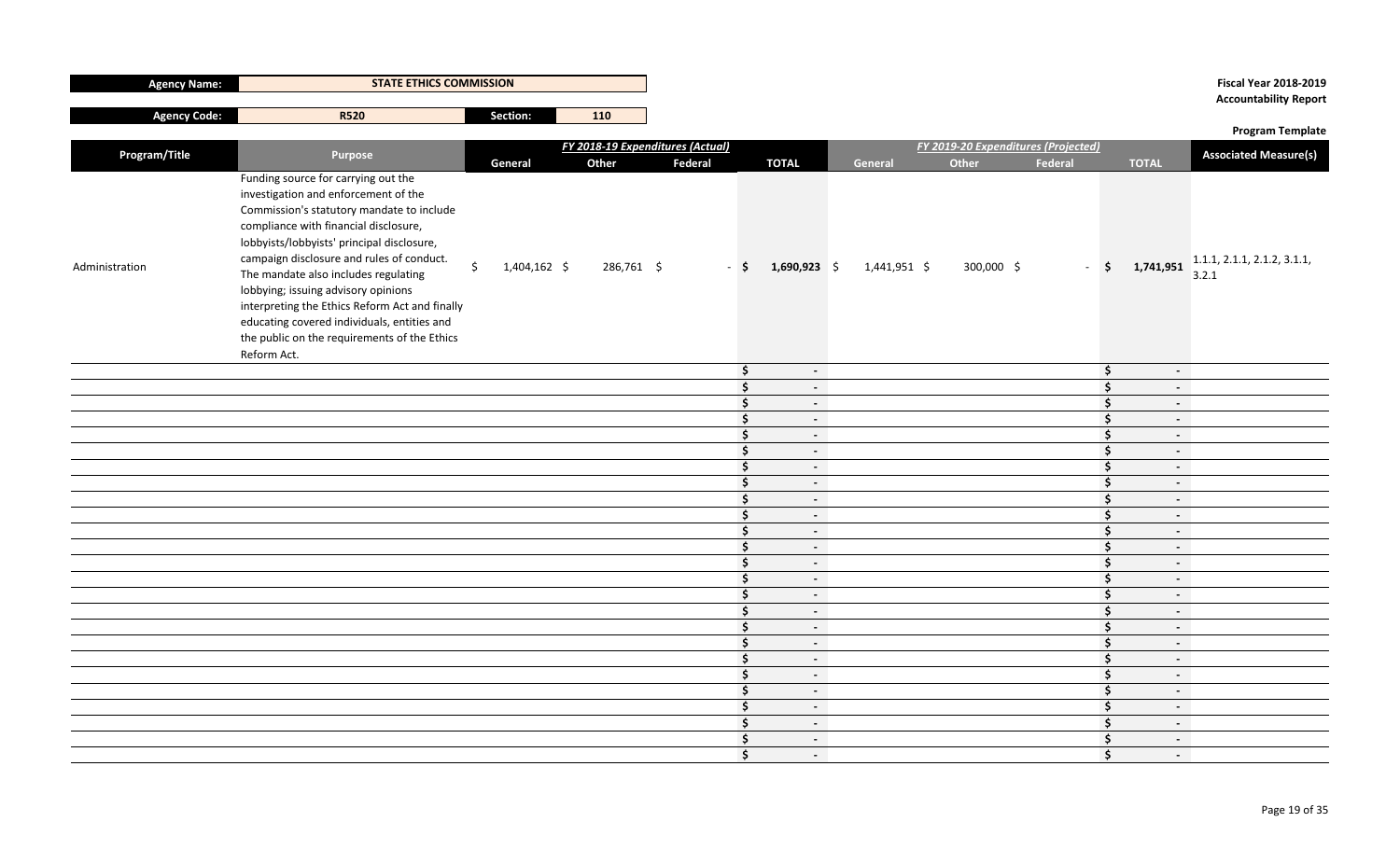|                     |                                                                                                                                                                                                                                                                                                                                                                                               |                           |            |                                  |                          |              |                                     |                     |              | <b>Accountability Report</b>                                                       |
|---------------------|-----------------------------------------------------------------------------------------------------------------------------------------------------------------------------------------------------------------------------------------------------------------------------------------------------------------------------------------------------------------------------------------------|---------------------------|------------|----------------------------------|--------------------------|--------------|-------------------------------------|---------------------|--------------|------------------------------------------------------------------------------------|
| <b>Agency Code:</b> | <b>R520</b>                                                                                                                                                                                                                                                                                                                                                                                   | Section:                  | 110        |                                  |                          |              |                                     |                     |              |                                                                                    |
|                     |                                                                                                                                                                                                                                                                                                                                                                                               |                           |            | FY 2018-19 Expenditures (Actual) |                          |              | FY 2019-20 Expenditures (Projected) |                     |              | <b>Program Template</b>                                                            |
| Program/Title       | Purpose                                                                                                                                                                                                                                                                                                                                                                                       | General                   | Other      | Federal                          | <b>TOTAL</b>             | General      | Other                               | Federal             | <b>TOTAL</b> | <b>Associated Measure(s)</b>                                                       |
| Administration      | Funding source for carrying out the<br>investigation and enforcement of the<br>Commission's statutory mandate to include<br>compliance with financial disclosure,<br>lobbyists/lobbyists' principal disclosure,<br>campaign disclosure and rules of conduct.<br>The mandate also includes regulating<br>lobbying; issuing advisory opinions<br>interpreting the Ethics Reform Act and finally | $\zeta$<br>$1,404,162$ \$ | 286,761 \$ | $-$ \$                           | $1,690,923$ \$           | 1,441,951 \$ | 300,000 \$                          |                     |              | $\frac{1}{2}$ <b>5</b> 1,741,951 $\frac{1.1.1}{2.2}$ 2.1.1, 2.1.2, 3.1.1,<br>3.2.1 |
|                     | educating covered individuals, entities and<br>the public on the requirements of the Ethics<br>Reform Act.                                                                                                                                                                                                                                                                                    |                           |            |                                  |                          |              |                                     |                     |              |                                                                                    |
|                     |                                                                                                                                                                                                                                                                                                                                                                                               |                           |            | $\ddot{\bm{\zeta}}$              | $\sim$                   |              |                                     | \$                  | $\sim$       |                                                                                    |
|                     |                                                                                                                                                                                                                                                                                                                                                                                               |                           |            | $\ddot{\bm{\zeta}}$              | $\sim$                   |              |                                     | Ŝ.                  | $\sim$       |                                                                                    |
|                     |                                                                                                                                                                                                                                                                                                                                                                                               |                           |            | $\ddot{\bm{s}}$                  | $\sim$                   |              |                                     | Ś.                  | $\sim$       |                                                                                    |
|                     |                                                                                                                                                                                                                                                                                                                                                                                               |                           |            | $\ddot{\bm{s}}$                  | $\sim$                   |              |                                     | $\mathsf{S}$        | $\sim$       |                                                                                    |
|                     |                                                                                                                                                                                                                                                                                                                                                                                               |                           |            | $\ddot{\bm{\zeta}}$              | $\sim$                   |              |                                     | $\ddot{\bm{\zeta}}$ | $\sim$       |                                                                                    |
|                     |                                                                                                                                                                                                                                                                                                                                                                                               |                           |            | $\ddot{\bm{\zeta}}$              | $\sim$                   |              |                                     | \$                  | $\sim$       |                                                                                    |
|                     |                                                                                                                                                                                                                                                                                                                                                                                               |                           |            | $\ddot{\bm{\zeta}}$              | $\sim$                   |              |                                     | \$                  | $\sim$       |                                                                                    |
|                     |                                                                                                                                                                                                                                                                                                                                                                                               |                           |            | $\ddot{\bm{\zeta}}$              | $\sim$                   |              |                                     | \$                  | $\sim$       |                                                                                    |
|                     |                                                                                                                                                                                                                                                                                                                                                                                               |                           |            | $\ddot{\bm{\zeta}}$              | $\sim$                   |              |                                     | \$                  | $\sim$       |                                                                                    |
|                     |                                                                                                                                                                                                                                                                                                                                                                                               |                           |            | $\ddot{\bm{\zeta}}$              | $\sim$                   |              |                                     | $\frac{1}{2}$       | $\sim$       |                                                                                    |
|                     |                                                                                                                                                                                                                                                                                                                                                                                               |                           |            | $\ddot{\bm{\zeta}}$              | $\sim$                   |              |                                     | $\mathsf{S}$        | $\sim$       |                                                                                    |
|                     |                                                                                                                                                                                                                                                                                                                                                                                               |                           |            | $\ddot{\bm{z}}$                  | $\sim$                   |              |                                     | $\mathsf{S}$        | $\sim$       |                                                                                    |
|                     |                                                                                                                                                                                                                                                                                                                                                                                               |                           |            | $\ddot{\bm{\zeta}}$              | $\sim$                   |              |                                     | $\frac{1}{2}$       | $\sim$       |                                                                                    |
|                     |                                                                                                                                                                                                                                                                                                                                                                                               |                           |            | $\ddot{\bm{s}}$                  | $\sim$                   |              |                                     | $\ddot{\bm{\zeta}}$ | $\sim$       |                                                                                    |
|                     |                                                                                                                                                                                                                                                                                                                                                                                               |                           |            | $\mathsf{\hat{S}}$               | $\sim$                   |              |                                     | \$.                 | $\sim$       |                                                                                    |
|                     |                                                                                                                                                                                                                                                                                                                                                                                               |                           |            | $\ddot{\bm{\zeta}}$              | $\sim$                   |              |                                     | $\frac{1}{2}$       | $\sim$       |                                                                                    |
|                     |                                                                                                                                                                                                                                                                                                                                                                                               |                           |            | $\ddot{\bm{\zeta}}$              | $\sim$                   |              |                                     | $\ddot{\bm{\zeta}}$ | $\sim$       |                                                                                    |
|                     |                                                                                                                                                                                                                                                                                                                                                                                               |                           |            | $\ddot{\bm{\zeta}}$              | $\sim$                   |              |                                     | \$.                 | $\sim$       |                                                                                    |
|                     |                                                                                                                                                                                                                                                                                                                                                                                               |                           |            | $\ddot{\bm{s}}$                  | $\sim$                   |              |                                     | \$                  | $\sim$       |                                                                                    |
|                     |                                                                                                                                                                                                                                                                                                                                                                                               |                           |            | $\ddot{\bm{s}}$                  | $\sim$                   |              |                                     | $\mathsf{S}$        | $\sim$       |                                                                                    |
|                     |                                                                                                                                                                                                                                                                                                                                                                                               |                           |            | $\frac{1}{2}$                    | $\sim$                   |              |                                     | \$                  | $\sim$       |                                                                                    |
|                     |                                                                                                                                                                                                                                                                                                                                                                                               |                           |            | $\ddot{\bm{\zeta}}$              | $\sim$                   |              |                                     | $\mathsf{S}$        | $\sim$       |                                                                                    |
|                     |                                                                                                                                                                                                                                                                                                                                                                                               |                           |            | $\ddot{\bm{\zeta}}$              | $\sim$                   |              |                                     | \$                  | $\sim$       |                                                                                    |
|                     |                                                                                                                                                                                                                                                                                                                                                                                               |                           |            | $\ddot{\bm{s}}$                  | $\sim$                   |              |                                     | Ŝ.                  | $\sim$       |                                                                                    |
|                     |                                                                                                                                                                                                                                                                                                                                                                                               |                           |            | Ŝ.                               | $\overline{\phantom{a}}$ |              |                                     | Ŝ.                  | $\sim$       |                                                                                    |

**STATE ETHICS COMMISSION Fiscal Year 2018-2019**

**Agency Name:**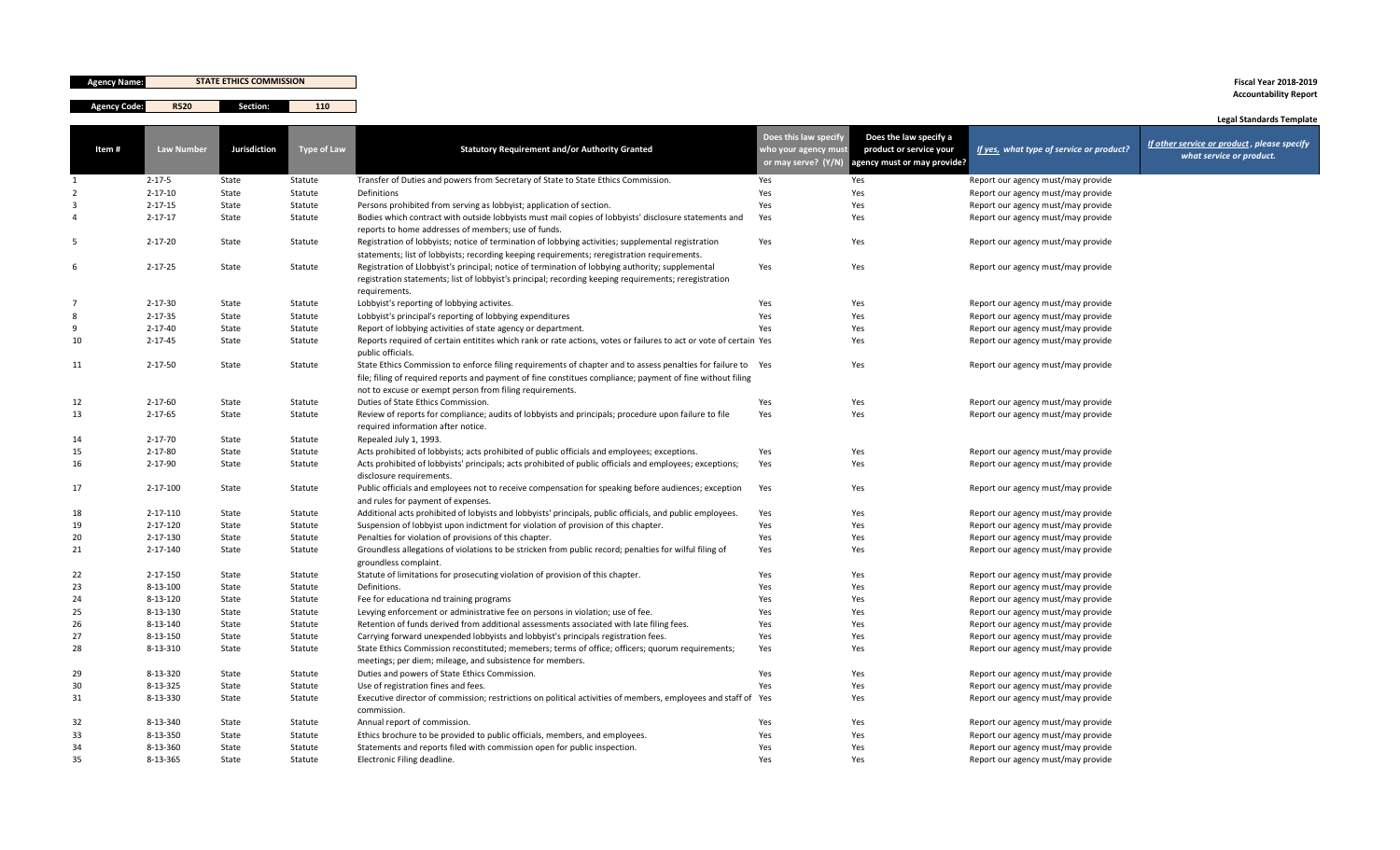| <b>Agency Name:</b> |                      | <b>STATE ETHICS COMMISSION</b> |                    |                                                                                                                                                                                                                                                                                        |                                                                      |                                                                                  |                                                                          | <b>Fiscal Year 2018-2019</b><br><b>Accountability Report</b>                                               |
|---------------------|----------------------|--------------------------------|--------------------|----------------------------------------------------------------------------------------------------------------------------------------------------------------------------------------------------------------------------------------------------------------------------------------|----------------------------------------------------------------------|----------------------------------------------------------------------------------|--------------------------------------------------------------------------|------------------------------------------------------------------------------------------------------------|
| <b>Agency Code:</b> | <b>R520</b>          | Section:                       | 110                |                                                                                                                                                                                                                                                                                        |                                                                      |                                                                                  |                                                                          |                                                                                                            |
| Item#               | Law Number           | Jurisdiction                   | Type of Law        | <b>Statutory Requirement and/or Authority Granted</b>                                                                                                                                                                                                                                  | Does this law specify<br>who your agency must<br>or may serve? (Y/N) | Does the law specify a<br>product or service your<br>agency must or may provide? | If yes, what type of service or product?                                 | <b>Legal Standards Template</b><br>If other service or product, please specify<br>what service or product. |
|                     | $2 - 17 - 5$         | State                          | Statute            | Transfer of Duties and powers from Secretary of State to State Ethics Commission.                                                                                                                                                                                                      | Yes                                                                  | Yes                                                                              | Report our agency must/may provide                                       |                                                                                                            |
|                     | $2 - 17 - 10$        | State                          | Statute            | Definitions                                                                                                                                                                                                                                                                            | Yes                                                                  | Yes                                                                              | Report our agency must/may provide                                       |                                                                                                            |
|                     | $2 - 17 - 15$        | State                          | Statute            | Persons prohibited from serving as lobbyist; application of section.                                                                                                                                                                                                                   | Yes                                                                  | Yes                                                                              | Report our agency must/may provide                                       |                                                                                                            |
|                     | $2 - 17 - 17$        | State                          | Statute            | Bodies which contract with outside lobbyists must mail copies of lobbyists' disclosure statements and<br>reports to home addresses of members; use of funds.                                                                                                                           | Yes                                                                  | Yes                                                                              | Report our agency must/may provide                                       |                                                                                                            |
|                     | $2 - 17 - 20$        | State                          | Statute            | Registration of lobbyists; notice of termination of lobbying activities; supplemental registration<br>statements; list of lobbyists; recording keeping requirements; reregistration requirements.                                                                                      | Yes                                                                  | Yes                                                                              | Report our agency must/may provide                                       |                                                                                                            |
| 6                   | $2 - 17 - 25$        | State                          | Statute            | Registration of Llobbyist's principal; notice of termination of lobbying authority; supplemental<br>registration statements; list of lobbyist's principal; recording keeping requirements; reregistration<br>requirements.                                                             | Yes                                                                  | Yes                                                                              | Report our agency must/may provide                                       |                                                                                                            |
|                     | $2 - 17 - 30$        | State                          | Statute            | Lobbyist's reporting of lobbying activites.                                                                                                                                                                                                                                            | Yes                                                                  | Yes                                                                              | Report our agency must/may provide                                       |                                                                                                            |
|                     | $2 - 17 - 35$        | State                          | Statute            | Lobbyist's principal's reporting of lobbying expenditures                                                                                                                                                                                                                              | Yes                                                                  | Yes                                                                              | Report our agency must/may provide                                       |                                                                                                            |
|                     | $2 - 17 - 40$        | State                          | Statute            | Report of lobbying activities of state agency or department.                                                                                                                                                                                                                           | Yes                                                                  | Yes                                                                              | Report our agency must/may provide                                       |                                                                                                            |
| 10                  | $2 - 17 - 45$        | State                          | Statute            | Reports required of certain entitites which rank or rate actions, votes or failures to act or vote of certain Yes<br>public officials.                                                                                                                                                 |                                                                      | Yes                                                                              | Report our agency must/may provide                                       |                                                                                                            |
| 11                  | $2 - 17 - 50$        | State                          | Statute            | State Ethics Commission to enforce filing requirements of chapter and to assess penalties for failure to Yes<br>file; filing of required reports and payment of fine constitues compliance; payment of fine without filing<br>not to excuse or exempt person from filing requirements. |                                                                      | Yes                                                                              | Report our agency must/may provide                                       |                                                                                                            |
| 12                  | $2 - 17 - 60$        | State                          | Statute            | Duties of State Ethics Commission.                                                                                                                                                                                                                                                     | Yes                                                                  | Yes                                                                              | Report our agency must/may provide                                       |                                                                                                            |
| 13                  | $2 - 17 - 65$        | State                          | Statute            | Review of reports for compliance; audits of lobbyists and principals; procedure upon failure to file<br>required information after notice.                                                                                                                                             | Yes                                                                  | Yes                                                                              | Report our agency must/may provide                                       |                                                                                                            |
| 14                  | $2 - 17 - 70$        | State                          | Statute            | Repealed July 1, 1993.                                                                                                                                                                                                                                                                 |                                                                      |                                                                                  |                                                                          |                                                                                                            |
| 15                  | $2 - 17 - 80$        | State                          | Statute            | Acts prohibited of lobbyists; acts prohibited of public officials and employees; exceptions.                                                                                                                                                                                           | Yes                                                                  | Yes                                                                              | Report our agency must/may provide                                       |                                                                                                            |
| 16                  | $2 - 17 - 90$        | State                          | Statute            | Acts prohibited of lobbyists' principals; acts prohibited of public officials and employees; exceptions;<br>disclosure requirements.                                                                                                                                                   | Yes                                                                  | Yes                                                                              | Report our agency must/may provide                                       |                                                                                                            |
| 17                  | $2 - 17 - 100$       | State                          | Statute            | Public officials and employees not to receive compensation for speaking before audiences; exception<br>and rules for payment of expenses.                                                                                                                                              | Yes                                                                  | Yes                                                                              | Report our agency must/may provide                                       |                                                                                                            |
| 18                  | 2-17-110             | State                          | Statute            | Additional acts prohibited of lobyists and lobbyists' principals, public officials, and public employees.                                                                                                                                                                              | Yes                                                                  | Yes                                                                              | Report our agency must/may provide                                       |                                                                                                            |
| 19                  | 2-17-120             | State                          | Statute            | Suspension of lobbyist upon indictment for violation of provision of this chapter.                                                                                                                                                                                                     | Yes                                                                  | Yes                                                                              | Report our agency must/may provide                                       |                                                                                                            |
| 20                  | 2-17-130             | State                          | Statute            | Penalties for violation of provisions of this chapter.                                                                                                                                                                                                                                 | Yes                                                                  | Yes                                                                              | Report our agency must/may provide                                       |                                                                                                            |
| 21                  | 2-17-140             | State                          | Statute            | Groundless allegations of violations to be stricken from public record; penalties for wilful filing of<br>groundless complaint.                                                                                                                                                        | Yes                                                                  | Yes                                                                              | Report our agency must/may provide                                       |                                                                                                            |
| 22                  | $2 - 17 - 150$       | State                          | Statute            | Statute of limitations for prosecuting violation of provision of this chapter.                                                                                                                                                                                                         | Yes                                                                  | Yes                                                                              | Report our agency must/may provide                                       |                                                                                                            |
| 23                  | $8 - 13 - 100$       | State                          | Statute            | Definitions.                                                                                                                                                                                                                                                                           | Yes                                                                  | Yes                                                                              | Report our agency must/may provide                                       |                                                                                                            |
| 24                  | 8-13-120             | State                          | Statute            | Fee for educationa nd training programs                                                                                                                                                                                                                                                | Yes                                                                  | Yes                                                                              | Report our agency must/may provide                                       |                                                                                                            |
| 25                  | 8-13-130             | State                          | Statute            | Levying enforcement or administrative fee on persons in violation; use of fee.                                                                                                                                                                                                         | Yes                                                                  | Yes                                                                              | Report our agency must/may provide                                       |                                                                                                            |
| 26                  | 8-13-140             | State                          | Statute            | Retention of funds derived from additional assessments associated with late filing fees.                                                                                                                                                                                               | Yes                                                                  | Yes                                                                              | Report our agency must/may provide                                       |                                                                                                            |
| 27                  | 8-13-150             | State                          | Statute            | Carrying forward unexpended lobbyists and lobbyist's principals registration fees.                                                                                                                                                                                                     | Yes                                                                  | Yes                                                                              | Report our agency must/may provide                                       |                                                                                                            |
| 28                  | 8-13-310             | State                          | Statute            | State Ethics Commission reconstituted; memebers; terms of office; officers; quorum requirements;<br>meetings; per diem; mileage, and subsistence for members.                                                                                                                          | Yes                                                                  | Yes                                                                              | Report our agency must/may provide                                       |                                                                                                            |
| 29                  | 8-13-320             | State                          | Statute            | Duties and powers of State Ethics Commission.                                                                                                                                                                                                                                          | Yes                                                                  | Yes                                                                              | Report our agency must/may provide                                       |                                                                                                            |
| 30<br>31            | 8-13-325<br>8-13-330 | State<br>State                 | Statute<br>Statute | Use of registration fines and fees.<br>Executive director of commission; restrictions on political activities of members, employees and staff of Yes                                                                                                                                   | Yes                                                                  | Yes<br>Yes                                                                       | Report our agency must/may provide<br>Report our agency must/may provide |                                                                                                            |
| 32                  | 8-13-340             | State                          | Statute            | commission.<br>Annual report of commission.                                                                                                                                                                                                                                            | Yes                                                                  | Yes                                                                              | Report our agency must/may provide                                       |                                                                                                            |
| 33                  | 8-13-350             | State                          | Statute            | Ethics brochure to be provided to public officials, members, and employees.                                                                                                                                                                                                            | Yes                                                                  | Yes                                                                              | Report our agency must/may provide                                       |                                                                                                            |
| 34                  | 8-13-360             | State                          | Statute            | Statements and reports filed with commission open for public inspection.                                                                                                                                                                                                               | Yes                                                                  | Yes                                                                              | Report our agency must/may provide                                       |                                                                                                            |
| 35                  | 8-13-365             | State                          | Statute            | Electronic Filing deadline.                                                                                                                                                                                                                                                            | Yes                                                                  | Yes                                                                              | Report our agency must/may provide                                       |                                                                                                            |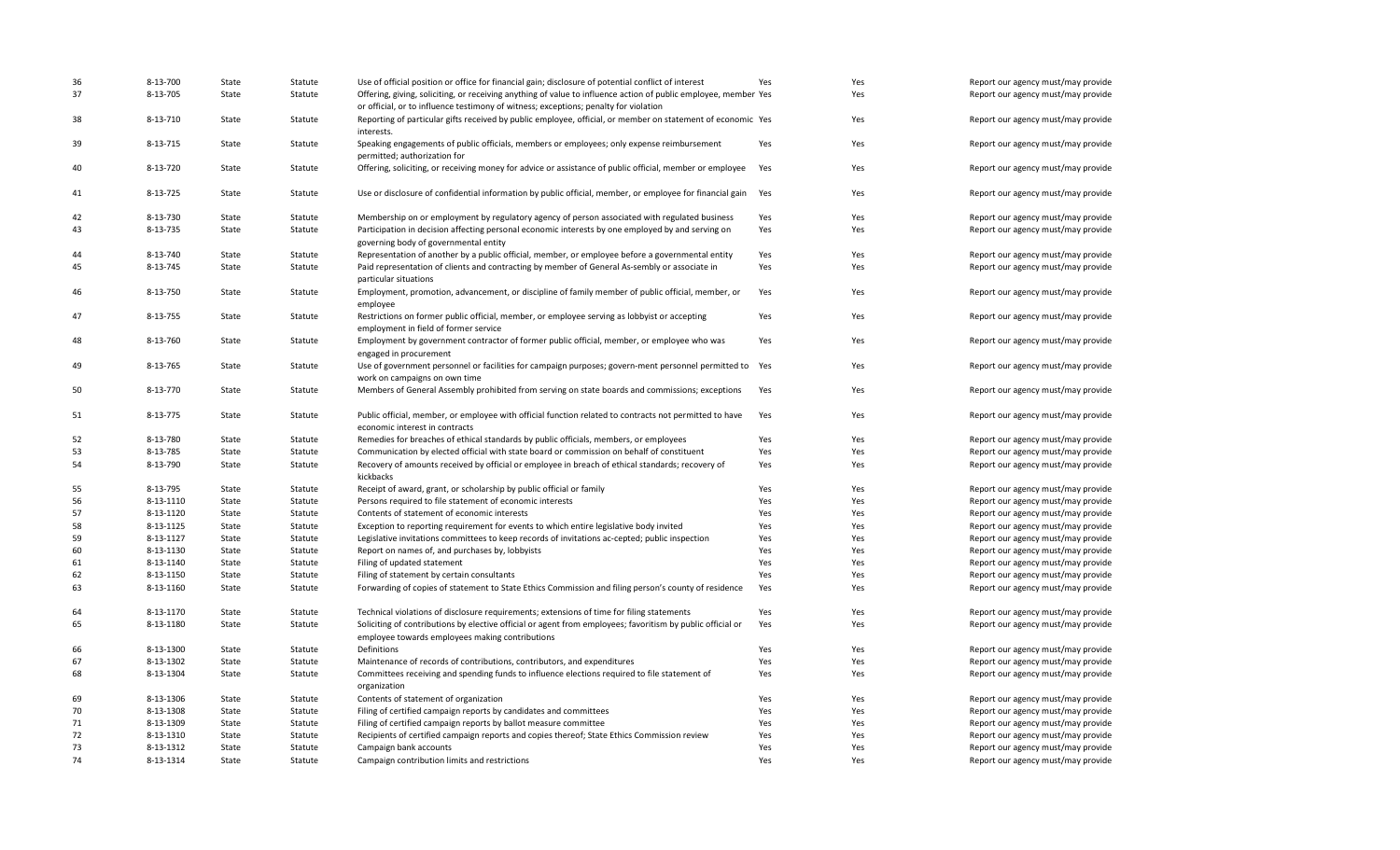| 36<br>37 | 8-13-700<br>8-13-705 | State<br>State | Statute | Use of official position or office for financial gain; disclosure of potential conflict of interest                                                                                                     | Yes | Yes<br>Yes | Report our agency must/may provide |
|----------|----------------------|----------------|---------|---------------------------------------------------------------------------------------------------------------------------------------------------------------------------------------------------------|-----|------------|------------------------------------|
|          |                      |                | Statute | Offering, giving, soliciting, or receiving anything of value to influence action of public employee, member Yes<br>or official, or to influence testimony of witness; exceptions; penalty for violation |     |            | Report our agency must/may provide |
| 38       | 8-13-710             | State          | Statute | Reporting of particular gifts received by public employee, official, or member on statement of economic Yes<br>interests.                                                                               |     | Yes        | Report our agency must/may provide |
| 39       | 8-13-715             | State          | Statute | Speaking engagements of public officials, members or employees; only expense reimbursement<br>permitted; authorization for                                                                              | Yes | Yes        | Report our agency must/may provide |
| 40       | 8-13-720             | State          | Statute | Offering, soliciting, or receiving money for advice or assistance of public official, member or employee                                                                                                | Yes | Yes        | Report our agency must/may provide |
| 41       | 8-13-725             | State          | Statute | Use or disclosure of confidential information by public official, member, or employee for financial gain                                                                                                | Yes | Yes        | Report our agency must/may provide |
| 42       | 8-13-730             | State          | Statute | Membership on or employment by regulatory agency of person associated with regulated business                                                                                                           | Yes | Yes        | Report our agency must/may provide |
| 43       | 8-13-735             | State          | Statute | Participation in decision affecting personal economic interests by one employed by and serving on<br>governing body of governmental entity                                                              | Yes | Yes        | Report our agency must/may provide |
| 44       | 8-13-740             | State          | Statute | Representation of another by a public official, member, or employee before a governmental entity                                                                                                        | Yes | Yes        | Report our agency must/may provide |
| 45       | 8-13-745             | State          | Statute | Paid representation of clients and contracting by member of General As-sembly or associate in<br>particular situations                                                                                  | Yes | Yes        | Report our agency must/may provide |
| 46       | 8-13-750             | State          | Statute | Employment, promotion, advancement, or discipline of family member of public official, member, or<br>employee                                                                                           | Yes | Yes        | Report our agency must/may provide |
| 47       | 8-13-755             | State          | Statute | Restrictions on former public official, member, or employee serving as lobbyist or accepting<br>employment in field of former service                                                                   | Yes | Yes        | Report our agency must/may provide |
| 48       | 8-13-760             | State          | Statute | Employment by government contractor of former public official, member, or employee who was<br>engaged in procurement                                                                                    | Yes | Yes        | Report our agency must/may provide |
| 49       | 8-13-765             | State          | Statute | Use of government personnel or facilities for campaign purposes; govern-ment personnel permitted to Yes<br>work on campaigns on own time                                                                |     | Yes        | Report our agency must/may provide |
| 50       | 8-13-770             | State          | Statute | Members of General Assembly prohibited from serving on state boards and commissions; exceptions                                                                                                         | Yes | Yes        | Report our agency must/may provide |
| 51       | 8-13-775             | State          | Statute | Public official, member, or employee with official function related to contracts not permitted to have<br>economic interest in contracts                                                                | Yes | Yes        | Report our agency must/may provide |
| 52       | 8-13-780             | State          | Statute | Remedies for breaches of ethical standards by public officials, members, or employees                                                                                                                   | Yes | Yes        | Report our agency must/may provide |
| 53       | 8-13-785             | State          | Statute | Communication by elected official with state board or commission on behalf of constituent                                                                                                               | Yes | Yes        | Report our agency must/may provide |
| 54       | 8-13-790             | State          | Statute | Recovery of amounts received by official or employee in breach of ethical standards; recovery of<br>kickbacks                                                                                           | Yes | Yes        | Report our agency must/may provide |
| 55       | 8-13-795             | State          | Statute | Receipt of award, grant, or scholarship by public official or family                                                                                                                                    | Yes | Yes        | Report our agency must/may provide |
| 56       | 8-13-1110            | State          | Statute | Persons required to file statement of economic interests                                                                                                                                                | Yes | Yes        | Report our agency must/may provide |
| 57       | 8-13-1120            | State          | Statute | Contents of statement of economic interests                                                                                                                                                             | Yes | Yes        | Report our agency must/may provide |
| 58       | 8-13-1125            | State          | Statute | Exception to reporting requirement for events to which entire legislative body invited                                                                                                                  | Yes | Yes        | Report our agency must/may provide |
| 59       | 8-13-1127            | State          | Statute | Legislative invitations committees to keep records of invitations ac-cepted; public inspection                                                                                                          | Yes | Yes        | Report our agency must/may provide |
| 60       | 8-13-1130            | State          | Statute | Report on names of, and purchases by, lobbyists                                                                                                                                                         | Yes | Yes        | Report our agency must/may provide |
| 61       | 8-13-1140            | State          | Statute | Filing of updated statement                                                                                                                                                                             | Yes | Yes        | Report our agency must/may provide |
| 62       | 8-13-1150            | State          | Statute | Filing of statement by certain consultants                                                                                                                                                              | Yes | Yes        | Report our agency must/may provide |
| 63       | 8-13-1160            | State          | Statute | Forwarding of copies of statement to State Ethics Commission and filing person's county of residence                                                                                                    | Yes | Yes        | Report our agency must/may provide |
| 64       | 8-13-1170            | State          | Statute | Technical violations of disclosure requirements; extensions of time for filing statements                                                                                                               | Yes | Yes        | Report our agency must/may provide |
| 65       | 8-13-1180            | State          | Statute | Soliciting of contributions by elective official or agent from employees; favoritism by public official or<br>employee towards employees making contributions                                           | Yes | Yes        | Report our agency must/may provide |
| 66       | 8-13-1300            | State          | Statute | Definitions                                                                                                                                                                                             | Yes | Yes        | Report our agency must/may provide |
| 67       | 8-13-1302            | State          | Statute | Maintenance of records of contributions, contributors, and expenditures                                                                                                                                 | Yes | Yes        | Report our agency must/may provide |
| 68       | 8-13-1304            | State          | Statute | Committees receiving and spending funds to influence elections required to file statement of<br>organization                                                                                            | Yes | Yes        | Report our agency must/may provide |
| 69       | 8-13-1306            | State          | Statute | Contents of statement of organization                                                                                                                                                                   | Yes | Yes        | Report our agency must/may provide |
| 70       | 8-13-1308            | State          | Statute | Filing of certified campaign reports by candidates and committees                                                                                                                                       | Yes | Yes        | Report our agency must/may provide |
| 71       | 8-13-1309            | State          | Statute | Filing of certified campaign reports by ballot measure committee                                                                                                                                        | Yes | Yes        | Report our agency must/may provide |
| 72       | 8-13-1310            | State          | Statute | Recipients of certified campaign reports and copies thereof; State Ethics Commission review                                                                                                             | Yes | Yes        | Report our agency must/may provide |
| 73       | 8-13-1312            | State          | Statute | Campaign bank accounts                                                                                                                                                                                  | Yes | Yes        | Report our agency must/may provide |
| 74       | 8-13-1314            | State          | Statute | Campaign contribution limits and restrictions                                                                                                                                                           | Yes | Yes        | Report our agency must/may provide |
|          |                      |                |         |                                                                                                                                                                                                         |     |            |                                    |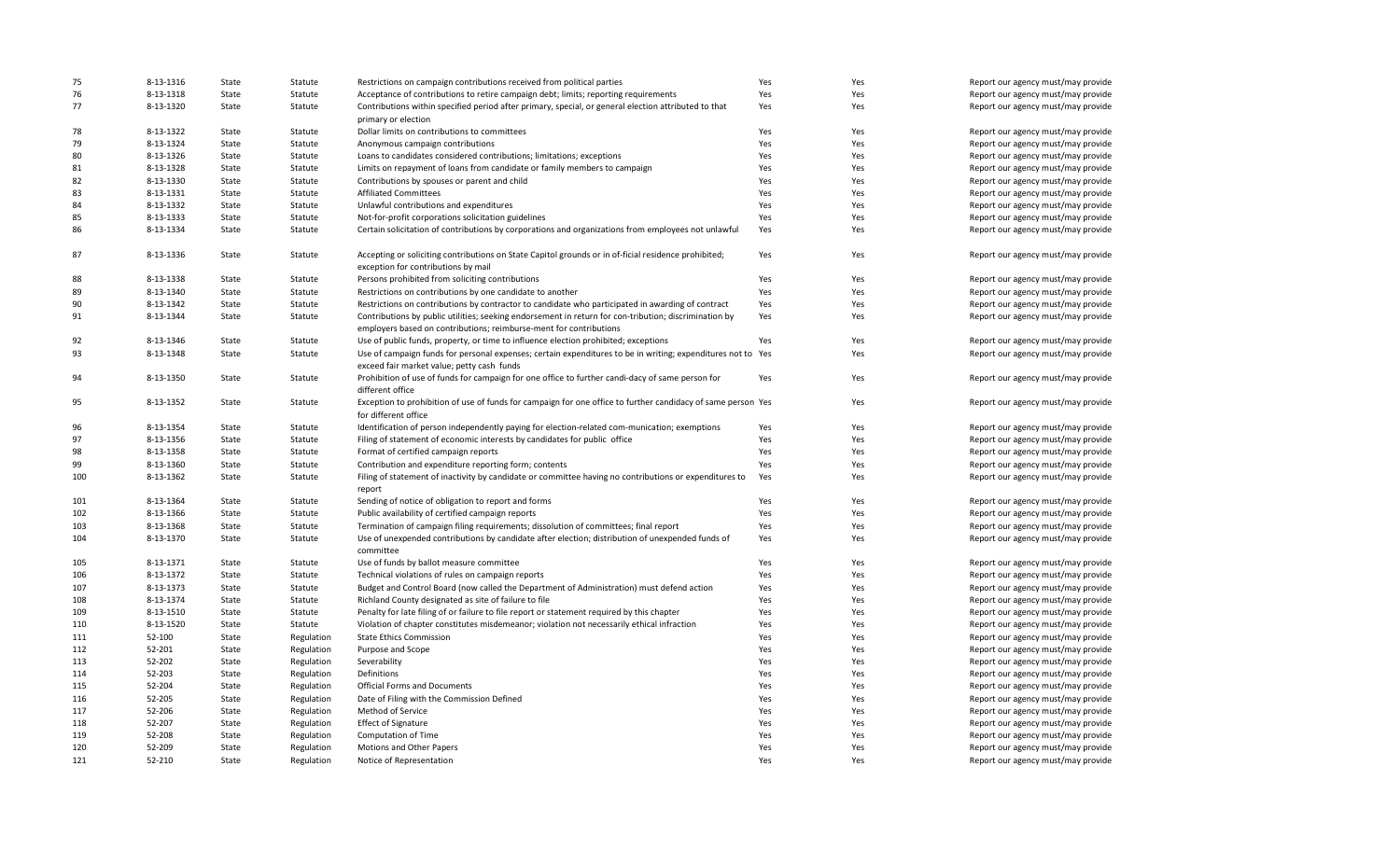| 75  | 8-13-1316 | State | Statute    | Restrictions on campaign contributions received from political parties                                                                                                      | Yes | Yes | Report our agency must/may provide |
|-----|-----------|-------|------------|-----------------------------------------------------------------------------------------------------------------------------------------------------------------------------|-----|-----|------------------------------------|
| 76  | 8-13-1318 | State | Statute    | Acceptance of contributions to retire campaign debt; limits; reporting requirements                                                                                         | Yes | Yes | Report our agency must/may provide |
| 77  | 8-13-1320 | State | Statute    | Contributions within specified period after primary, special, or general election attributed to that<br>primary or election                                                 | Yes | Yes | Report our agency must/may provide |
| 78  | 8-13-1322 | State | Statute    | Dollar limits on contributions to committees                                                                                                                                | Yes | Yes | Report our agency must/may provide |
| 79  | 8-13-1324 | State | Statute    | Anonymous campaign contributions                                                                                                                                            | Yes | Yes | Report our agency must/may provide |
| 80  | 8-13-1326 |       |            |                                                                                                                                                                             |     | Yes |                                    |
|     |           | State | Statute    | Loans to candidates considered contributions; limitations; exceptions                                                                                                       | Yes |     | Report our agency must/may provide |
| 81  | 8-13-1328 | State | Statute    | Limits on repayment of loans from candidate or family members to campaign                                                                                                   | Yes | Yes | Report our agency must/may provide |
| 82  | 8-13-1330 | State | Statute    | Contributions by spouses or parent and child                                                                                                                                | Yes | Yes | Report our agency must/may provide |
| 83  | 8-13-1331 | State | Statute    | <b>Affiliated Committees</b>                                                                                                                                                | Yes | Yes | Report our agency must/may provide |
| 84  | 8-13-1332 | State | Statute    | Unlawful contributions and expenditures                                                                                                                                     | Yes | Yes | Report our agency must/may provide |
| 85  | 8-13-1333 | State | Statute    | Not-for-profit corporations solicitation guidelines                                                                                                                         | Yes | Yes | Report our agency must/may provide |
| 86  | 8-13-1334 | State | Statute    | Certain solicitation of contributions by corporations and organizations from employees not unlawful                                                                         | Yes | Yes | Report our agency must/may provide |
| 87  | 8-13-1336 | State | Statute    | Accepting or soliciting contributions on State Capitol grounds or in of-ficial residence prohibited;<br>exception for contributions by mail                                 | Yes | Yes | Report our agency must/may provide |
| 88  | 8-13-1338 | State | Statute    | Persons prohibited from soliciting contributions                                                                                                                            | Yes | Yes | Report our agency must/may provide |
| 89  | 8-13-1340 | State | Statute    | Restrictions on contributions by one candidate to another                                                                                                                   | Yes | Yes | Report our agency must/may provide |
| 90  | 8-13-1342 | State | Statute    | Restrictions on contributions by contractor to candidate who participated in awarding of contract                                                                           | Yes | Yes | Report our agency must/may provide |
| 91  | 8-13-1344 | State | Statute    | Contributions by public utilities; seeking endorsement in return for con-tribution; discrimination by<br>employers based on contributions; reimburse-ment for contributions | Yes | Yes | Report our agency must/may provide |
| 92  | 8-13-1346 | State | Statute    | Use of public funds, property, or time to influence election prohibited; exceptions                                                                                         | Yes | Yes | Report our agency must/may provide |
| 93  | 8-13-1348 | State | Statute    | Use of campaign funds for personal expenses; certain expenditures to be in writing; expenditures not to Yes<br>exceed fair market value; petty cash funds                   |     | Yes | Report our agency must/may provide |
| 94  | 8-13-1350 | State | Statute    | Prohibition of use of funds for campaign for one office to further candi-dacy of same person for<br>different office                                                        | Yes | Yes | Report our agency must/may provide |
| 95  | 8-13-1352 | State | Statute    | Exception to prohibition of use of funds for campaign for one office to further candidacy of same person Yes<br>for different office                                        |     | Yes | Report our agency must/may provide |
| 96  | 8-13-1354 | State | Statute    | Identification of person independently paying for election-related com-munication; exemptions                                                                               | Yes | Yes | Report our agency must/may provide |
| 97  | 8-13-1356 | State | Statute    | Filing of statement of economic interests by candidates for public office                                                                                                   | Yes | Yes | Report our agency must/may provide |
| 98  | 8-13-1358 | State | Statute    | Format of certified campaign reports                                                                                                                                        | Yes | Yes | Report our agency must/may provide |
| 99  | 8-13-1360 | State | Statute    | Contribution and expenditure reporting form; contents                                                                                                                       | Yes | Yes | Report our agency must/may provide |
| 100 | 8-13-1362 | State | Statute    | Filing of statement of inactivity by candidate or committee having no contributions or expenditures to                                                                      | Yes | Yes | Report our agency must/may provide |
|     |           |       |            | report                                                                                                                                                                      |     |     |                                    |
| 101 | 8-13-1364 | State | Statute    | Sending of notice of obligation to report and forms                                                                                                                         | Yes | Yes | Report our agency must/may provide |
| 102 | 8-13-1366 | State | Statute    | Public availability of certified campaign reports                                                                                                                           | Yes | Yes | Report our agency must/may provide |
| 103 | 8-13-1368 | State | Statute    | Termination of campaign filing requirements; dissolution of committees; final report                                                                                        | Yes | Yes | Report our agency must/may provide |
| 104 | 8-13-1370 | State | Statute    | Use of unexpended contributions by candidate after election; distribution of unexpended funds of                                                                            | Yes | Yes | Report our agency must/may provide |
| 105 | 8-13-1371 | State | Statute    | committee<br>Use of funds by ballot measure committee                                                                                                                       | Yes | Yes |                                    |
|     | 8-13-1372 |       |            |                                                                                                                                                                             |     |     | Report our agency must/may provide |
| 106 |           | State | Statute    | Technical violations of rules on campaign reports                                                                                                                           | Yes | Yes | Report our agency must/may provide |
| 107 | 8-13-1373 | State | Statute    | Budget and Control Board (now called the Department of Administration) must defend action                                                                                   | Yes | Yes | Report our agency must/may provide |
| 108 | 8-13-1374 | State | Statute    | Richland County designated as site of failure to file                                                                                                                       | Yes | Yes | Report our agency must/may provide |
| 109 | 8-13-1510 | State | Statute    | Penalty for late filing of or failure to file report or statement required by this chapter                                                                                  | Yes | Yes | Report our agency must/may provide |
| 110 | 8-13-1520 | State | Statute    | Violation of chapter constitutes misdemeanor; violation not necessarily ethical infraction                                                                                  | Yes | Yes | Report our agency must/may provide |
| 111 | 52-100    | State | Regulation | <b>State Ethics Commission</b>                                                                                                                                              | Yes | Yes | Report our agency must/may provide |
| 112 | 52-201    | State | Regulation | Purpose and Scope                                                                                                                                                           | Yes | Yes | Report our agency must/may provide |
| 113 | 52-202    | State | Regulation | Severability                                                                                                                                                                | Yes | Yes | Report our agency must/may provide |
| 114 | 52-203    | State | Regulation | Definitions                                                                                                                                                                 | Yes | Yes | Report our agency must/may provide |
| 115 | 52-204    | State | Regulation | <b>Official Forms and Documents</b>                                                                                                                                         | Yes | Yes | Report our agency must/may provide |
| 116 | 52-205    | State | Regulation | Date of Filing with the Commission Defined                                                                                                                                  | Yes | Yes | Report our agency must/may provide |
| 117 | 52-206    | State | Regulation | Method of Service                                                                                                                                                           | Yes | Yes | Report our agency must/may provide |
| 118 | 52-207    | State | Regulation | <b>Effect of Signature</b>                                                                                                                                                  | Yes | Yes | Report our agency must/may provide |
| 119 | 52-208    | State | Regulation | Computation of Time                                                                                                                                                         | Yes | Yes | Report our agency must/may provide |
| 120 | 52-209    | State | Regulation | Motions and Other Papers                                                                                                                                                    | Yes | Yes | Report our agency must/may provide |
| 121 | 52-210    | State | Regulation | Notice of Representation                                                                                                                                                    | Yes | Yes | Report our agency must/may provide |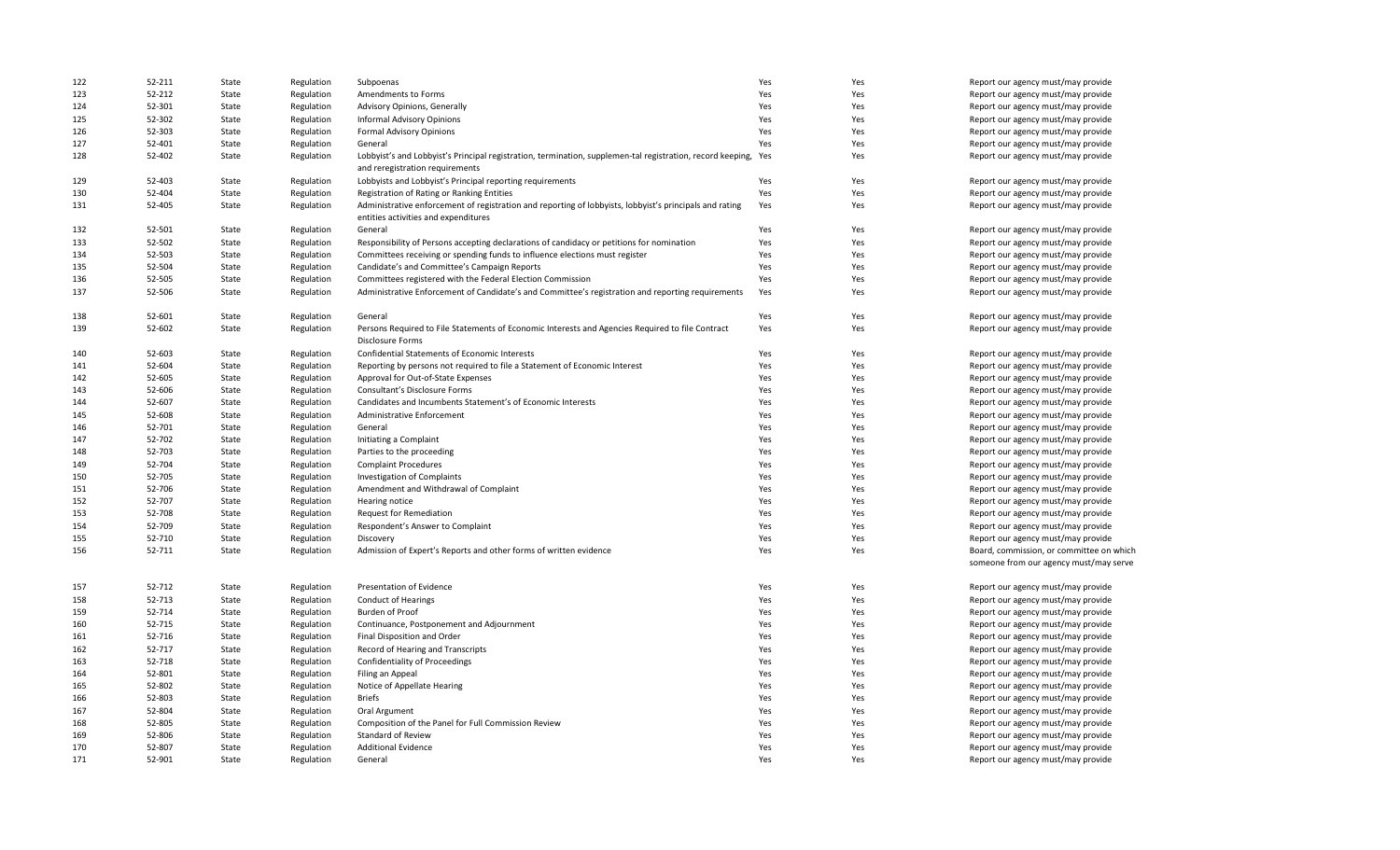| 122 | 52-211 | State | Regulation | Subpoenas                                                                                                                                     | Yes | Yes | Report our agency must/may provide       |
|-----|--------|-------|------------|-----------------------------------------------------------------------------------------------------------------------------------------------|-----|-----|------------------------------------------|
| 123 | 52-212 | State | Regulation | Amendments to Forms                                                                                                                           | Yes | Yes | Report our agency must/may provide       |
| 124 | 52-301 | State | Regulation | Advisory Opinions, Generally                                                                                                                  | Yes | Yes | Report our agency must/may provide       |
| 125 | 52-302 | State | Regulation | Informal Advisory Opinions                                                                                                                    | Yes | Yes | Report our agency must/may provide       |
| 126 | 52-303 | State | Regulation | Formal Advisory Opinions                                                                                                                      | Yes | Yes | Report our agency must/may provide       |
| 127 | 52-401 | State | Regulation | General                                                                                                                                       | Yes | Yes | Report our agency must/may provide       |
| 128 | 52-402 | State | Regulation | Lobbyist's and Lobbyist's Principal registration, termination, supplemen-tal registration, record keeping,<br>and reregistration requirements | Yes | Yes | Report our agency must/may provide       |
| 129 | 52-403 | State | Regulation | Lobbyists and Lobbyist's Principal reporting requirements                                                                                     | Yes | Yes | Report our agency must/may provide       |
| 130 | 52-404 | State | Regulation | Registration of Rating or Ranking Entities                                                                                                    | Yes | Yes | Report our agency must/may provide       |
| 131 | 52-405 | State | Regulation | Administrative enforcement of registration and reporting of lobbyists, lobbyist's principals and rating                                       | Yes | Yes | Report our agency must/may provide       |
|     |        |       |            | entities activities and expenditures                                                                                                          |     |     |                                          |
| 132 | 52-501 | State | Regulation | General                                                                                                                                       | Yes | Yes | Report our agency must/may provide       |
| 133 | 52-502 | State | Regulation | Responsibility of Persons accepting declarations of candidacy or petitions for nomination                                                     | Yes | Yes | Report our agency must/may provide       |
| 134 | 52-503 | State | Regulation | Committees receiving or spending funds to influence elections must register                                                                   | Yes | Yes | Report our agency must/may provide       |
| 135 | 52-504 | State | Regulation | Candidate's and Committee's Campaign Reports                                                                                                  | Yes | Yes | Report our agency must/may provide       |
| 136 | 52-505 | State | Regulation | Committees registered with the Federal Election Commission                                                                                    | Yes | Yes | Report our agency must/may provide       |
| 137 | 52-506 | State | Regulation | Administrative Enforcement of Candidate's and Committee's registration and reporting requirements                                             | Yes | Yes | Report our agency must/may provide       |
| 138 | 52-601 | State | Regulation | General                                                                                                                                       | Yes | Yes | Report our agency must/may provide       |
| 139 | 52-602 | State | Regulation | Persons Required to File Statements of Economic Interests and Agencies Required to file Contract                                              | Yes | Yes | Report our agency must/may provide       |
|     |        |       |            | <b>Disclosure Forms</b>                                                                                                                       |     |     |                                          |
| 140 | 52-603 | State | Regulation | Confidential Statements of Economic Interests                                                                                                 | Yes | Yes | Report our agency must/may provide       |
| 141 | 52-604 | State | Regulation | Reporting by persons not required to file a Statement of Economic Interest                                                                    | Yes | Yes | Report our agency must/may provide       |
| 142 | 52-605 | State | Regulation | Approval for Out-of-State Expenses                                                                                                            | Yes | Yes | Report our agency must/may provide       |
| 143 | 52-606 | State | Regulation | Consultant's Disclosure Forms                                                                                                                 | Yes | Yes | Report our agency must/may provide       |
| 144 | 52-607 | State | Regulation | Candidates and Incumbents Statement's of Economic Interests                                                                                   | Yes | Yes | Report our agency must/may provide       |
| 145 | 52-608 |       |            | Administrative Enforcement                                                                                                                    | Yes | Yes |                                          |
|     |        | State | Regulation |                                                                                                                                               |     |     | Report our agency must/may provide       |
| 146 | 52-701 | State | Regulation | General                                                                                                                                       | Yes | Yes | Report our agency must/may provide       |
| 147 | 52-702 | State | Regulation | Initiating a Complaint                                                                                                                        | Yes | Yes | Report our agency must/may provide       |
| 148 | 52-703 | State | Regulation | Parties to the proceeding                                                                                                                     | Yes | Yes | Report our agency must/may provide       |
| 149 | 52-704 | State | Regulation | <b>Complaint Procedures</b>                                                                                                                   | Yes | Yes | Report our agency must/may provide       |
| 150 | 52-705 | State | Regulation | Investigation of Complaints                                                                                                                   | Yes | Yes | Report our agency must/may provide       |
| 151 | 52-706 | State | Regulation | Amendment and Withdrawal of Complaint                                                                                                         | Yes | Yes | Report our agency must/may provide       |
| 152 | 52-707 | State | Regulation | Hearing notice                                                                                                                                | Yes | Yes | Report our agency must/may provide       |
| 153 | 52-708 | State | Regulation | Request for Remediation                                                                                                                       | Yes | Yes | Report our agency must/may provide       |
| 154 | 52-709 | State | Regulation | Respondent's Answer to Complaint                                                                                                              | Yes | Yes | Report our agency must/may provide       |
| 155 | 52-710 | State | Regulation | Discovery                                                                                                                                     | Yes | Yes | Report our agency must/may provide       |
| 156 | 52-711 | State | Regulation | Admission of Expert's Reports and other forms of written evidence                                                                             | Yes | Yes | Board, commission, or committee on which |
|     |        |       |            |                                                                                                                                               |     |     | someone from our agency must/may serve   |
| 157 | 52-712 | State | Regulation | Presentation of Evidence                                                                                                                      | Yes | Yes | Report our agency must/may provide       |
| 158 | 52-713 | State | Regulation | Conduct of Hearings                                                                                                                           | Yes | Yes | Report our agency must/may provide       |
| 159 | 52-714 | State | Regulation | Burden of Proof                                                                                                                               | Yes | Yes | Report our agency must/may provide       |
| 160 | 52-715 | State | Regulation | Continuance, Postponement and Adjournment                                                                                                     | Yes | Yes | Report our agency must/may provide       |
| 161 | 52-716 | State | Regulation | Final Disposition and Order                                                                                                                   | Yes | Yes | Report our agency must/may provide       |
| 162 | 52-717 | State | Regulation | Record of Hearing and Transcripts                                                                                                             | Yes | Yes | Report our agency must/may provide       |
| 163 | 52-718 | State | Regulation | Confidentiality of Proceedings                                                                                                                | Yes | Yes | Report our agency must/may provide       |
| 164 | 52-801 | State | Regulation | Filing an Appeal                                                                                                                              | Yes | Yes | Report our agency must/may provide       |
| 165 | 52-802 | State | Regulation | Notice of Appellate Hearing                                                                                                                   | Yes | Yes | Report our agency must/may provide       |
| 166 | 52-803 | State | Regulation | Briefs                                                                                                                                        | Yes | Yes | Report our agency must/may provide       |
| 167 | 52-804 | State | Regulation | Oral Argument                                                                                                                                 | Yes | Yes | Report our agency must/may provide       |
| 168 | 52-805 | State | Regulation | Composition of the Panel for Full Commission Review                                                                                           | Yes | Yes | Report our agency must/may provide       |
| 169 | 52-806 | State | Regulation | Standard of Review                                                                                                                            | Yes | Yes | Report our agency must/may provide       |
| 170 | 52-807 | State | Regulation | <b>Additional Evidence</b>                                                                                                                    | Yes | Yes | Report our agency must/may provide       |
| 171 | 52-901 | State | Regulation | General                                                                                                                                       | Yes | Yes | Report our agency must/may provide       |
|     |        |       |            |                                                                                                                                               |     |     |                                          |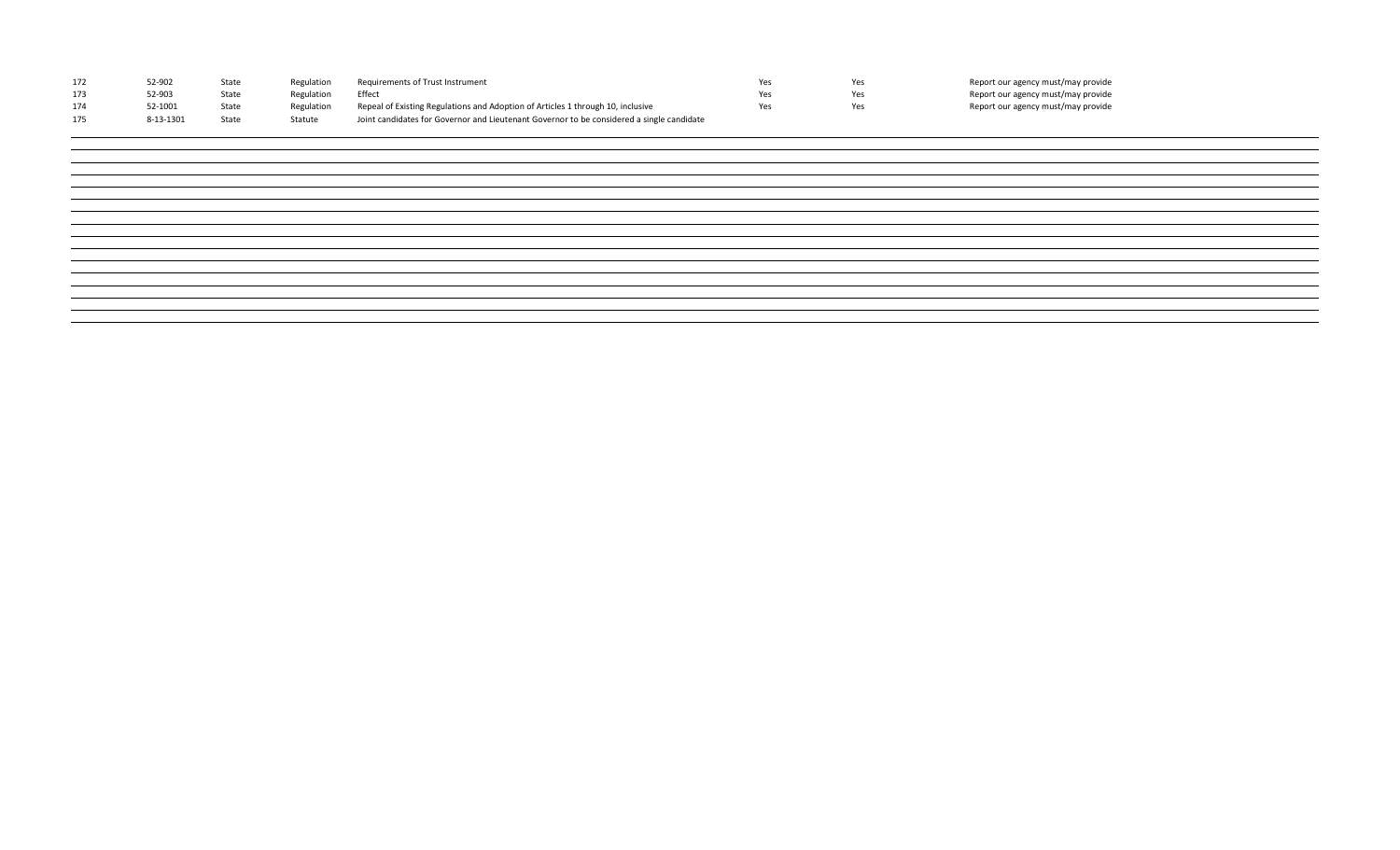|     | 52-902    | State | Regulation | Requirements of Trust Instrument                                                          | Yes | Report our agency must/may provide |
|-----|-----------|-------|------------|-------------------------------------------------------------------------------------------|-----|------------------------------------|
| 173 | 52-903    | State | Regulation | Effect                                                                                    | Yes | Report our agency must/may provide |
|     | 52-1001   | State | Regulation | Repeal of Existing Regulations and Adoption of Articles 1 through 10, inclusive           | Yes | Report our agency must/may provide |
|     | 8-13-1301 | State | Statute    | Joint candidates for Governor and Lieutenant Governor to be considered a single candidate |     |                                    |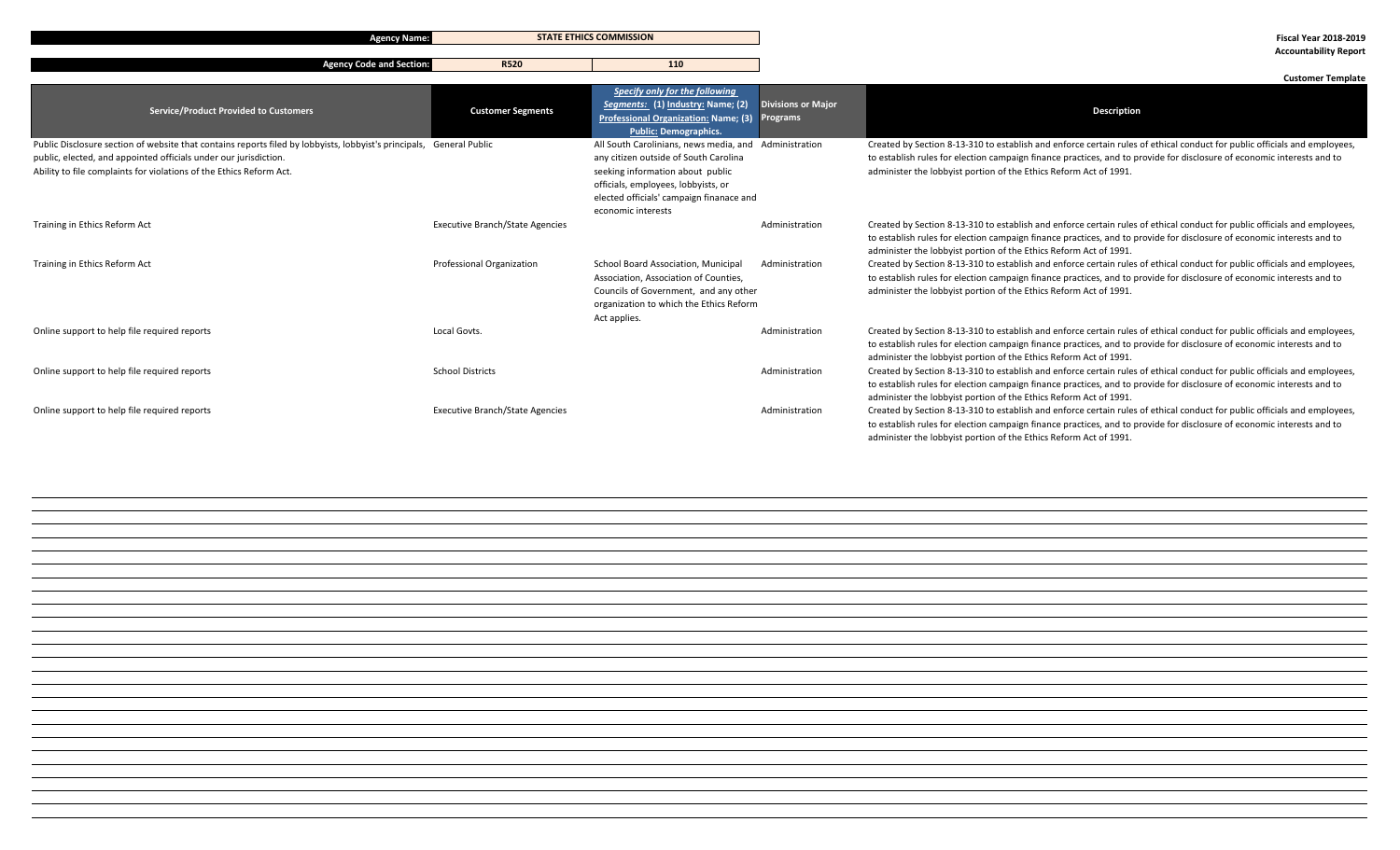**Agency Name: Fiscal Year 2018-2019 STATE ETHICS COMMISSION**

**Agency Code and Section:** R520 **110** 

**Accountability Report**

|                                                                                                                                                                                                                                                                 |                                        |                                                                                                                                                                                                                                             |                                       | <b>Customer Template</b>                                                                                                                                                                                                                                                                                                 |
|-----------------------------------------------------------------------------------------------------------------------------------------------------------------------------------------------------------------------------------------------------------------|----------------------------------------|---------------------------------------------------------------------------------------------------------------------------------------------------------------------------------------------------------------------------------------------|---------------------------------------|--------------------------------------------------------------------------------------------------------------------------------------------------------------------------------------------------------------------------------------------------------------------------------------------------------------------------|
| <b>Service/Product Provided to Customers</b>                                                                                                                                                                                                                    | <b>Customer Segments</b>               | Specify only for the following<br>Segments: (1) Industry: Name; (2)<br><b>Professional Organization: Name; (3)</b><br><b>Public: Demographics.</b>                                                                                          | <b>Divisions or Major</b><br>Programs | <b>Description</b>                                                                                                                                                                                                                                                                                                       |
| Public Disclosure section of website that contains reports filed by lobbyists, lobbyist's principals, General Public<br>public, elected, and appointed officials under our jurisdiction.<br>Ability to file complaints for violations of the Ethics Reform Act. |                                        | All South Carolinians, news media, and Administration<br>any citizen outside of South Carolina<br>seeking information about public<br>officials, employees, lobbyists, or<br>elected officials' campaign finanace and<br>economic interests |                                       | Created by Section 8-13-310 to establish and enforce certain rules of ethical conduct for public officials and employees,<br>to establish rules for election campaign finance practices, and to provide for disclosure of economic interests and to<br>administer the lobbyist portion of the Ethics Reform Act of 1991. |
| Training in Ethics Reform Act                                                                                                                                                                                                                                   | <b>Executive Branch/State Agencies</b> |                                                                                                                                                                                                                                             | Administration                        | Created by Section 8-13-310 to establish and enforce certain rules of ethical conduct for public officials and employees,<br>to establish rules for election campaign finance practices, and to provide for disclosure of economic interests and to<br>administer the lobbyist portion of the Ethics Reform Act of 1991. |
| Training in Ethics Reform Act                                                                                                                                                                                                                                   | Professional Organization              | School Board Association, Municipal<br>Association, Association of Counties,<br>Councils of Government, and any other<br>organization to which the Ethics Reform<br>Act applies.                                                            | Administration                        | Created by Section 8-13-310 to establish and enforce certain rules of ethical conduct for public officials and employees,<br>to establish rules for election campaign finance practices, and to provide for disclosure of economic interests and to<br>administer the lobbyist portion of the Ethics Reform Act of 1991. |
| Online support to help file required reports                                                                                                                                                                                                                    | Local Govts.                           |                                                                                                                                                                                                                                             | Administration                        | Created by Section 8-13-310 to establish and enforce certain rules of ethical conduct for public officials and employees,<br>to establish rules for election campaign finance practices, and to provide for disclosure of economic interests and to<br>administer the lobbyist portion of the Ethics Reform Act of 1991. |
| Online support to help file required reports                                                                                                                                                                                                                    | <b>School Districts</b>                |                                                                                                                                                                                                                                             | Administration                        | Created by Section 8-13-310 to establish and enforce certain rules of ethical conduct for public officials and employees,<br>to establish rules for election campaign finance practices, and to provide for disclosure of economic interests and to<br>administer the lobbyist portion of the Ethics Reform Act of 1991. |
| Online support to help file required reports                                                                                                                                                                                                                    | <b>Executive Branch/State Agencies</b> |                                                                                                                                                                                                                                             | Administration                        | Created by Section 8-13-310 to establish and enforce certain rules of ethical conduct for public officials and employees,<br>to establish rules for election campaign finance practices, and to provide for disclosure of economic interests and to<br>administer the lobbyist portion of the Ethics Reform Act of 1991. |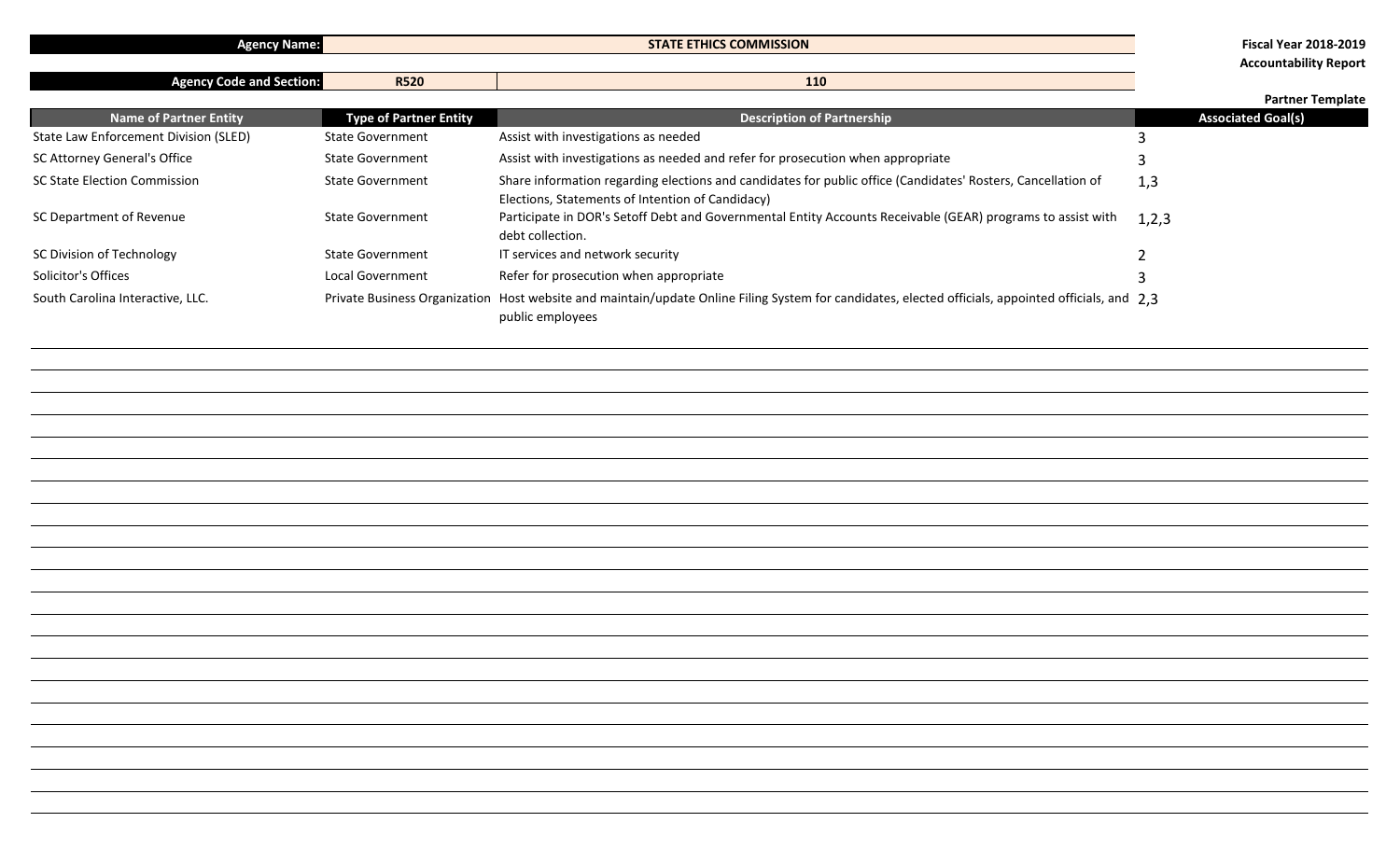| <b>MISSION</b><br><b>ETHICS COM'</b><br><b>STATE</b><br>2018-2019<br><b>Fiscal Year</b><br><b>Exency Name:</b> |
|----------------------------------------------------------------------------------------------------------------|
|----------------------------------------------------------------------------------------------------------------|

**Agency Code and Section:** R520 **110 110** 

**Accountability Report**

#### **Partner Template**

|                                       |                               |                                                                                                                                                                         | <b>Faither remplate</b>   |
|---------------------------------------|-------------------------------|-------------------------------------------------------------------------------------------------------------------------------------------------------------------------|---------------------------|
| <b>Name of Partner Entity</b>         | <b>Type of Partner Entity</b> | <b>Description of Partnership</b>                                                                                                                                       | <b>Associated Goal(s)</b> |
| State Law Enforcement Division (SLED) | <b>State Government</b>       | Assist with investigations as needed                                                                                                                                    |                           |
| SC Attorney General's Office          | <b>State Government</b>       | Assist with investigations as needed and refer for prosecution when appropriate                                                                                         |                           |
| <b>SC State Election Commission</b>   | <b>State Government</b>       | Share information regarding elections and candidates for public office (Candidates' Rosters, Cancellation of<br>Elections, Statements of Intention of Candidacy)        | 1,3                       |
| SC Department of Revenue              | <b>State Government</b>       | Participate in DOR's Setoff Debt and Governmental Entity Accounts Receivable (GEAR) programs to assist with<br>debt collection.                                         | 1,2,3                     |
| SC Division of Technology             | <b>State Government</b>       | IT services and network security                                                                                                                                        |                           |
| Solicitor's Offices                   | Local Government              | Refer for prosecution when appropriate                                                                                                                                  |                           |
| South Carolina Interactive, LLC.      |                               | Private Business Organization Host website and maintain/update Online Filing System for candidates, elected officials, appointed officials, and 2.3<br>public employees |                           |